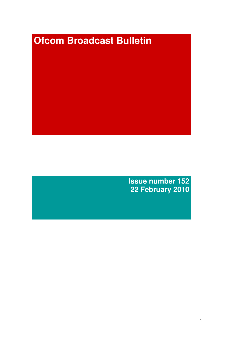# **Ofcom Broadcast Bulletin**

**Issue number 152 22 February 2010**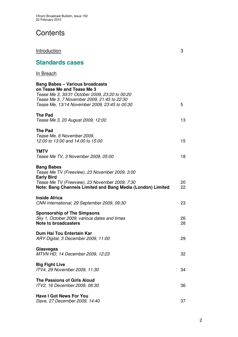# **Contents**

## **Introduction** 3

# **Standards cases**

## In Breach

| <b>Bang Babes - Various broadcasts</b><br>on Tease Me and Tease Me 3 |    |
|----------------------------------------------------------------------|----|
| Tease Me 3, 30/31 October 2009, 23:20 to 00:20                       |    |
| Tease Me 3, 7 November 2009, 21:45 to 22:30                          |    |
| Tease Me, 13/14 November 2009, 23:45 to 00:30                        | 5  |
| <b>The Pad</b>                                                       |    |
| Tease Me 3, 20 August 2009, 12:00                                    | 13 |
|                                                                      |    |
| <b>The Pad</b>                                                       |    |
| Tease Me, 6 November 2009,                                           |    |
| 12:00 to 13:00 and 14:00 to 15:00                                    | 15 |
|                                                                      |    |
| <b>TMTV</b>                                                          | 18 |
| Tease Me TV, 3 November 2009, 05:00                                  |    |
| <b>Bang Babes</b>                                                    |    |
| Tease Me TV (Freeview), 23 November 2009, 3:00                       |    |
| <b>Early Bird</b>                                                    |    |
| Tease Me TV (Freeview), 23 November 2009, 7:30                       | 20 |
| Note: Bang Channels Limited and Bang Media (London) Limited          | 22 |
| <b>Inside Africa</b>                                                 |    |
| CNN International, 29 September 2009, 09:30                          | 23 |
|                                                                      |    |
| <b>Sponsorship of The Simpsons</b>                                   |    |
| Sky 1, October 2009, various dates and times                         | 26 |
| <b>Note to broadcasters</b>                                          | 28 |
| Dum Hai Tou Entertain Kar                                            |    |
| ARY Digital, 3 December 2009, 11:00                                  | 29 |
|                                                                      |    |
| Glasvegas                                                            |    |
| MTVN HD, 14 December 2009, 12:23                                     | 32 |
|                                                                      |    |
| <b>Big Fight Live</b>                                                |    |
| ITV4, 29 November 2009, 11:30                                        | 34 |
| <b>The Passions of Girls Aloud</b>                                   |    |
| ITV2, 16 December 2009, 08:30                                        | 36 |
|                                                                      |    |
| <b>Have I Got News For You</b>                                       |    |
| Dave, 27 December 2009, 14:40                                        | 37 |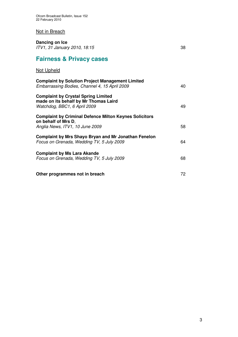## Not in Breach

**Dancing on Ice**

*ITV1, 31 January 2010, 18:15* 38

# **Fairness & Privacy cases**

## Not Upheld

| <b>Complaint by Solution Project Management Limited</b><br>Embarrassing Bodies, Channel 4, 15 April 2009            | 40 |
|---------------------------------------------------------------------------------------------------------------------|----|
| <b>Complaint by Crystal Spring Limited</b><br>made on its behalf by Mr Thomas Laird<br>Watchdog, BBC1, 6 April 2009 | 49 |
| <b>Complaint by Criminal Defence Milton Keynes Solicitors</b>                                                       |    |
| on behalf of Mrs D,<br>Anglia News, ITV1, 10 June 2009                                                              | 58 |
| <b>Complaint by Mrs Shayo Bryan and Mr Jonathan Fenelon</b><br>Focus on Grenada, Wedding TV, 5 July 2009            | 64 |
| <b>Complaint by Ms Lara Akande</b><br>Focus on Grenada, Wedding TV, 5 July 2009                                     | 68 |
| Other programmes not in breach                                                                                      | 72 |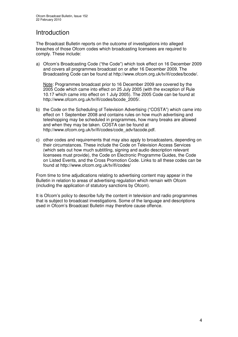# Introduction

The Broadcast Bulletin reports on the outcome of investigations into alleged breaches of those Ofcom codes which broadcasting licensees are required to comply. These include:

a) Ofcom's Broadcasting Code ("the Code") which took effect on 16 December 2009 and covers all programmes broadcast on or after 16 December 2009. The Broadcasting Code can be found at http://www.ofcom.org.uk/tv/ifi/codes/bcode/.

Note: Programmes broadcast prior to 16 December 2009 are covered by the 2005 Code which came into effect on 25 July 2005 (with the exception of Rule 10.17 which came into effect on 1 July 2005). The 2005 Code can be found at http://www.ofcom.org.uk/tv/ifi/codes/bcode\_2005/.

- b) the Code on the Scheduling of Television Advertising ("COSTA") which came into effect on 1 September 2008 and contains rules on how much advertising and teleshopping may be scheduled in programmes, how many breaks are allowed and when they may be taken. COSTA can be found at http://www.ofcom.org.uk/tv/ifi/codes/code\_adv/tacode.pdf.
- c) other codes and requirements that may also apply to broadcasters, depending on their circumstances. These include the Code on Television Access Services (which sets out how much subtitling, signing and audio description relevant licensees must provide), the Code on Electronic Programme Guides, the Code on Listed Events, and the Cross Promotion Code. Links to all these codes can be found at http://www.ofcom.org.uk/tv/ifi/codes/

From time to time adjudications relating to advertising content may appear in the Bulletin in relation to areas of advertising regulation which remain with Ofcom (including the application of statutory sanctions by Ofcom).

It is Ofcom's policy to describe fully the content in television and radio programmes that is subject to broadcast investigations. Some of the language and descriptions used in Ofcom's Broadcast Bulletin may therefore cause offence.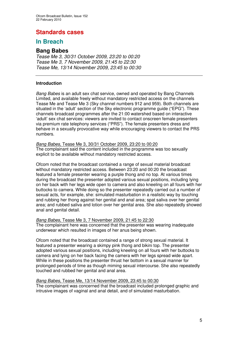## **Standards cases**

## **In Breach**

## **Bang Babes**

*Tease Me 3, 30/31 October 2009, 23:20 to 00:20 Tease Me 3, 7 November 2009, 21:45 to 22:30 Tease Me, 13/14 November 2009, 23:45 to 00:30*

#### **Introduction**

*Bang Babes* is an adult sex chat service, owned and operated by Bang Channels Limited, and available freely without mandatory restricted access on the channels Tease Me and Tease Me 3 (Sky channel numbers 912 and 959). Both channels are situated in the 'adult' section of the Sky electronic programme guide ("EPG"). These channels broadcast programmes after the 21:00 watershed based on interactive 'adult' sex chat services: viewers are invited to contact onscreen female presenters via premium rate telephony services ("PRS"). The female presenters dress and behave in a sexually provocative way while encouraging viewers to contact the PRS numbers.

#### *Bang Babes*, Tease Me 3, 30/31 October 2009, 23:20 to 00:20

The complainant said the content included in the programme was too sexually explicit to be available without mandatory restricted access.

Ofcom noted that the broadcast contained a range of sexual material broadcast without mandatory restricted access. Between 23:20 and 00:20 the broadcast featured a female presenter wearing a purple thong and no top. At various times during the broadcast the presenter adopted various sexual positions, including lying on her back with her legs wide open to camera and also kneeling on all fours with her buttocks to camera. While doing so the presenter repeatedly carried out a number of sexual acts, for example, she: simulated masturbation in a realistic way by touching and rubbing her thong against her genital and anal area; spat saliva over her genital area; and rubbed saliva and lotion over her genital area. She also repeatedly showed anal and genital detail.

#### *Bang Babes*, Tease Me 3, 7 November 2009, 21:45 to 22:30

The complainant here was concerned that the presenter was wearing inadequate underwear which resulted in images of her anus being shown.

Ofcom noted that the broadcast contained a range of strong sexual material. It featured a presenter wearing a skimpy pink thong and bikini top. The presenter adopted various sexual positions, including kneeling on all fours with her buttocks to camera and lying on her back facing the camera with her legs spread wide apart. While in these positions the presenter thrust her bottom in a sexual manner for prolonged periods of time as though miming sexual intercourse. She also repeatedly touched and rubbed her genital and anal area.

#### *Bang Babes*, Tease Me, 13/14 November 2009, 23:45 to 00:30

The complainant was concerned that the broadcast included prolonged graphic and intrusive images of vaginal and anal detail, and of simulated masturbation.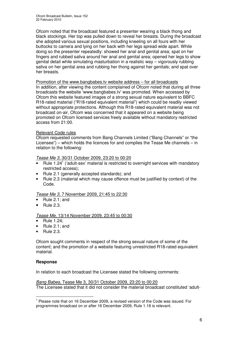Ofcom noted that the broadcast featured a presenter wearing a black thong and black stockings. Her top was pulled down to reveal her breasts. During the broadcast she adopted various sexual positions, including kneeling on all fours with her buttocks to camera and lying on her back with her legs spread wide apart. While doing so the presenter repeatedly: showed her anal and genital area; spat on her fingers and rubbed saliva around her anal and genital area; opened her legs to show genital detail while simulating masturbation in a realistic way – vigorously rubbing saliva on her genital area and rubbing her thong against her genitals; and spat over her breasts.

Promotion of the www.bangbabes.tv website address – for all broadcasts In addition, after viewing the content complained of Ofcom noted that during all three broadcasts the website 'www.bangbabes.tv' was promoted. When accessed by Ofcom this website featured images of a strong sexual nature equivalent to BBFC R18-rated material ("R18-rated equivalent material") which could be readily viewed without appropriate protections. Although this R18-rated equivalent material was not broadcast on-air, Ofcom was concerned that it appeared on a website being promoted on Ofcom licensed services freely available without mandatory restricted access from 21:00.

#### Relevant Code rules

Ofcom requested comments from Bang Channels Limited ("Bang Channels" or "the Licensee") – which holds the licences for and complies the Tease Me channels – in relation to the following:

#### *Tease Me 3,* 30/31 October 2009, 23:20 to 00:20

- Rule 1.24<sup>1</sup> ('adult-sex' material is restricted to overnight services with mandatory restricted access);
- Rule 2.1 (generally accepted standards); and
- Rule 2.3 (material which may cause offence must be justified by context) of the Code.

#### *Tease Me 3,* 7 November 2009, 21:45 to 22:30

- Rule 2.1: and
- Rule 2.3.

#### *Tease Me,* 13/14 November 2009, 23:45 to 00:30

- Rule 1.24;
- Rule 2.1; and
- Rule 2.3.

Ofcom sought comments in respect of the strong sexual nature of some of the content; and the promotion of a website featuring unrestricted R18-rated equivalent material.

#### **Response**

In relation to each broadcast the Licensee stated the following comments:

*Bang Babes*, Tease Me 3, 30/31 October 2009, 23:20 to 00:20 The Licensee stated that it did not consider the material broadcast constituted 'adult-

<sup>&</sup>lt;sup>1</sup> Please note that on 16 December 2009, a revised version of the Code was issued. For programmes broadcast on or after 16 December 2009, Rule 1.18 is relevant.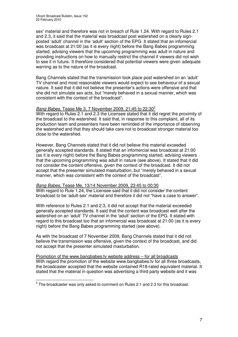sex' material and therefore was not in breach of Rule 1.24. With regard to Rules 2.1 and 2.3, it said that the material was broadcast post watershed on a clearly signposted 'adult' channel in the 'adult' section of the EPG. It stated that an infomercial was broadcast at 21:00 (as it is every night) before the Bang Babes programming started, advising viewers that the upcoming programming was adult in nature and providing instructions on how to manually restrict the channel if viewers did not wish to see it in future. It therefore considered that potential viewers were given adequate warning as to the nature of the broadcast.

Bang Channels stated that the transmission took place post watershed on an 'adult' TV channel and most reasonable viewers would expect to see behaviour of a sexual nature. It said that it did not believe the presenter's actions were offensive and that she did not simulate sex acts, but "merely behaved in a sexual manner, which was consistent with the context of the broadcast".

#### *Bang Babes*, Tease Me 3, 7 November 2009, 21:45 to 22:30 2

With regard to Rules 2.1 and 2.3 the Licensee stated that it did regret the proximity of the broadcast to the watershed. It said that, in response to this complaint, all of its production team and presenters have been reminded of the importance of observing the watershed and that they should take care not to broadcast stronger material too close to the watershed.

However, Bang Channels stated that it did not believe this material exceeded generally accepted standards. It stated that an infomercial was broadcast at 21:00 (as it is every night) before the Bang Babes programming started, advising viewers that the upcoming programming was adult in nature (see above). It stated that it did not consider the content offensive, given the context of the broadcast. It did not accept that the presenter simulated masturbation, but "merely behaved in a sexual manner, which was consistent with the context of the broadcast".

#### *Bang Babes*, Tease Me, 13/14 November 2009, 23:45 to 00:30

With regard to Rule 1.24, the Licensee said that it did not consider the content broadcast to be 'adult-sex' material and therefore it did not "have a case to answer".

With reference to Rules 2.1 and 2.3, it did not accept that the material exceeded generally accepted standards. It said that the content was broadcast well after the watershed on an 'adult' TV channel in the 'adult' section of the EPG. It stated with regard to this broadcast too that an infomercial was broadcast at 21:00 (as it is every night) before the Bang Babes programming started (see above).

As with the broadcast of 7 November 2009, Bang Channels stated that it did not believe the transmission was offensive, given the context of the broadcast, and did not accept that the presenter simulated masturbation.

Promotion of the www.bangbabes.tv website address – for all broadcasts With regard the promotion of the website www.bangbabes.tv for all three broadcasts, the broadcaster accepted that the website contained R18-rated equivalent material. It stated that the material in question was advertising a third party website and it was

 $^2$  The broadcaster was only asked to comment on Rules 2.1 and 2.3 for this broadcast.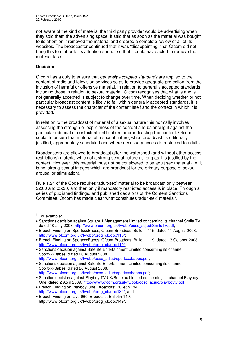not aware of the kind of material the third party provider would be advertising when they sold them the advertising space. It said that as soon as the material was bought to its attention it removed the material and ordered a complete review of all of its websites. The broadcaster continued that it was "disappointing" that Ofcom did not bring this to matter to its attention sooner so that it could have acted to remove the material faster.

#### **Decision**

Ofcom has a duty to ensure that *generally accepted standards* are applied to the content of radio and television services so as to provide adequate protection from the inclusion of harmful or offensive material. In relation to generally accepted standards, including those in relation to sexual material, Ofcom recognises that what is and is not generally accepted is subject to change over time. When deciding whether or not particular broadcast content is likely to fall within generally accepted standards, it is necessary to assess the character of the content itself and the context in which it is provided.

In relation to the broadcast of material of a sexual nature this normally involves assessing the strength or explicitness of the content and balancing it against the particular editorial or contextual justification for broadcasting the content. Ofcom seeks to ensure that material of a sexual nature, when broadcast, is editorially justified, appropriately scheduled and where necessary access is restricted to adults.

Broadcasters are allowed to broadcast after the watershed (and without other access restrictions) material which of a strong sexual nature as long as it is justified by the context. However, this material must not be considered to be adult sex material (i.e. it is not strong sexual images which are broadcast for the primary purpose of sexual arousal or stimulation).

Rule 1.24 of the Code requires 'adult-sex' material to be broadcast only between 22:00 and 05:30, and then only if mandatory restricted access is in place. Through a series of published findings, and published decisions of the Content Sanctions Committee, Ofcom has made clear what constitutes 'adult-sex' material<sup>3</sup>.

http://www.ofcom.org.uk/tv/obb/ocsc\_adjud/sportxxxbabes.pdf;

 $3$  For example:

<sup>•</sup> Sanctions decision against Square 1 Management Limited concerning its channel Smile TV, dated 10 July 2008, http://www.ofcom.org.uk/tv/obb/ocsc\_adjud/SmileTV.pdf;

<sup>•</sup> Breach Finding on SportxxxBabes, Ofcom Broadcast Bulletin 115, dated 11 August 2008; http://www.ofcom.org.uk/tv/obb/prog\_cb/obb115/;

<sup>•</sup> Breach Finding on SportxxxBabes, Ofcom Broadcast Bulletin 119, dated 13 October 2008; http://www.ofcom.org.uk/tv/obb/prog\_cb/obb119/;

<sup>•</sup> Sanctions decision against Satellite Entertainment Limited concerning its channel SportxxxBabes, dated 26 August 2008,

http://www.ofcom.org.uk/tv/obb/ocsc\_adjud/sportxxxbabes.pdf; • Sanctions decision against Satellite Entertainment Limited concerning its channel SportxxxBabes, dated 26 August 2008,

<sup>•</sup> Sanction decision against Playboy TV UK/Benelux Limited concerning its channel Playboy One, dated 2 April 2009, http://www.ofcom.org.uk/tv/obb/ocsc\_adjud/playboytv.pdf;

<sup>•</sup> Breach Finding on Playboy One, Broadcast Bulletin 134, http://www.ofcom.org.uk/tv/obb/prog\_cb/obb134/; and

<sup>•</sup> Breach Finding on Live 960, Broadcast Bulletin 149, http://www.ofcom.org.uk/ty/obb/prog\_cb/obb149/..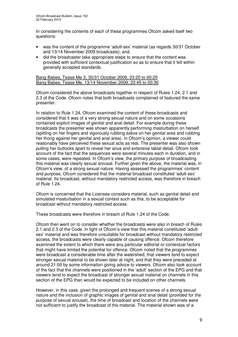In considering the contents of each of these programmes Ofcom asked itself two questions:

- was the content of the programme 'adult-sex' material (as regards 30/31 October and 13/14 November 2009 broadcasts); and,
- did the broadcaster take appropriate steps to ensure that the content was provided with sufficient contextual justification so as to ensure that it fell within generally accepted standards.

#### Bang Babes, Tease Me 3, 30/31 October 2009, 23:20 to 00:20 Bang Babes, Tease Me, 13/14 November 2009, 23:45 to 00:30

Ofcom considered the above broadcasts together in respect of Rules 1.24, 2.1 and 2.3 of the Code. Ofcom notes that both broadcasts complained of featured the same presenter.

In relation to Rule 1.24, Ofcom examined the content of these broadcasts and considered that it was of a very strong sexual nature and on some occasions contained explicit images of genital and anal detail. For example during these broadcasts the presenter was shown apparently performing masturbation on herself (spitting on her fingers and vigorously rubbing saliva on her genital area and rubbing her thong against her genital and anal area). In Ofcom's opinion, a viewer could reasonably have perceived these sexual acts as real. The presenter was also shown pulling her buttocks apart to reveal her anus and extensive labial detail. Ofcom took account of the fact that the sequences were several minutes each in duration, and in some cases, were repeated. In Ofcom's view, the primary purpose of broadcasting this material was clearly sexual arousal. Further given the above, the material was, in Ofcom's view, of a strong sexual nature. Having assessed the programmes' content and purpose, Ofcom considered that the material broadcast constituted 'adult-sex' material. Its broadcast, without mandatory restricted access, was therefore in breach of Rule 1.24.

Ofcom is concerned that the Licensee considers material, such as genital detail and simulated masturbation in a sexual context such as this, to be acceptable for broadcast without mandatory restricted access.

These broadcasts were therefore in breach of Rule 1.24 of the Code.

Ofcom then went on to consider whether the broadcasts were also in breach of Rules 2.1 and 2.3 of the Code. In light of Ofcom's view that this material constituted 'adultsex' material and was therefore unsuitable for broadcast without mandatory restricted access, the broadcasts were clearly capable of causing offence. Ofcom therefore examined the extent to which there were any particular editorial or contextual factors that might have limited the potential for offence. Ofcom noted that the programmes were broadcast a considerable time after the watershed, that viewers tend to expect stronger sexual material to be shown later at night, and that they were preceded at around 21:00 by some information giving advice to viewers. Ofcom also took account of the fact that the channels were positioned in the 'adult' section of the EPG and that viewers tend to expect the broadcast of stronger sexual material on channels in this section of the EPG than would be expected to be included on other channels.

However, in this case, given the prolonged and frequent scenes of a strong sexual nature and the inclusion of graphic images of genital and anal detail (provided for the purpose of sexual arousal), the time of broadcast and location of the channels were not sufficient to justify the broadcast of the material. The material shown was of a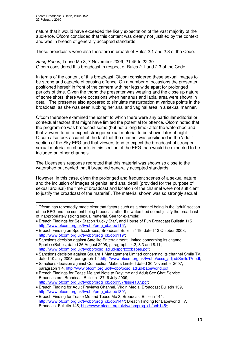nature that it would have exceeded the likely expectation of the vast majority of the audience. Ofcom concluded that this content was clearly not justified by the context and was in breach of generally accepted standards.

These broadcasts were also therefore in breach of Rules 2.1 and 2.3 of the Code.

*Bang Babes*, Tease Me 3, 7 November 2009, 21:45 to 22:30 Ofcom considered this broadcast in respect of Rules 2.1 and 2.3 of the Code.

In terms of the content of this broadcast, Ofcom considered these sexual images to be strong and capable of causing offence. On a number of occasions the presenter positioned herself in front of the camera with her legs wide apart for prolonged periods of time. Given the thong the presenter was wearing and the close up nature of some shots, there were occasions when her anus and labial area were shown in detail. The presenter also appeared to simulate masturbation at various points in the broadcast, as she was seen rubbing her anal and vaginal area in a sexual manner.

Ofcom therefore examined the extent to which there were any particular editorial or contextual factors that might have limited the potential for offence. Ofcom noted that the programme was broadcast some (but not a long time) after the watershed and that viewers tend to expect stronger sexual material to be shown later at night. Ofcom also took account of the fact that the channel was positioned in the 'adult' section of the Sky EPG and that viewers tend to expect the broadcast of stronger sexual material on channels in this section of the EPG than would be expected to be included on other channels.

The Licensee's response regretted that this material was shown so close to the watershed but denied that it breached generally accepted standards.

However, in this case, given the prolonged and frequent scenes of a sexual nature and the inclusion of images of genital and anal detail (provided for the purpose of sexual arousal) the time of broadcast and location of the channel were not sufficient to justify the broadcast of the material<sup>4</sup>. The material shown was so strongly sexual

<sup>&</sup>lt;sup>4</sup> Ofcom has repeatedly made clear that factors such as a channel being in the 'adult' section of the EPG and the content being broadcast after the watershed do not justify the broadcast of inappropriately strong sexual material. See for example:

<sup>•</sup> Breach Findings for Sex Station 'Lucky Star', and House of Fun Broadcast Bulletin 115 http://www.ofcom.org.uk/tv/obb/prog\_cb/obb115/;

<sup>•</sup> Breach Finding on SportxxxBabes, Broadcast Bulletin 119, dated 13 October 2008; http://www.ofcom.org.uk/tv/obb/prog\_cb/obb119/;

<sup>•</sup> Sanctions decision against Satellite Entertainment Limited concerning its channel SportxxxBabes, dated 26 August 2008, paragraphs 4.2, 8.3 and 8.11, http://www.ofcom.org.uk/ty/obb/ocsc\_adjud/sportxxxbabes.pdf;

<sup>•</sup> Sanctions decision against Square 1 Management Limited concerning its channel Smile TV, dated 10 July 2008, paragraph 1.4,http://www.ofcom.org.uk/tv/obb/ocsc\_adjud/SmileTV.pdf;

<sup>•</sup> Sanctions decision against Connection Makers Limited dated 30 November 2007, paragraph 1.4, http://www.ofcom.org.uk/tv/obb/ocsc\_adjud/babeworld.pdf;

<sup>•</sup> Breach Findings for Tease Me and Note to Daytime and Adult Sex Chat Service Broadcasters, Broadcast Bulletin 137, 6 July 2009, http://www.ofcom.org.uk/tv/obb/prog\_cb/obb137/Issue137.pdf;

<sup>•</sup> Breach Finding for Adult Previews Channel, Virgin Media, Broadcast Bulletin 139, http://www.ofcom.org.uk/tv/obb/prog\_cb/obb139/;

<sup>•</sup> Breach Finding for Tease Me and Tease Me 3, Broadcast Bulletin 144, http://www.ofcom.org.uk/tv/obb/prog\_cb/obb144/; Breach Finding for Babeworld TV, Broadcast Bulletin 145, http://www.ofcom.org.uk/tv/obb/prog\_cb/obb145/;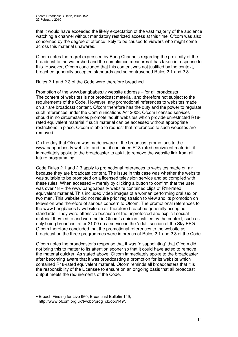that it would have exceeded the likely expectation of the vast majority of the audience watching a channel without mandatory restricted access at this time. Ofcom was also concerned by the degree of offence likely to be caused to viewers who might come across this material unawares.

Ofcom notes the regret expressed by Bang Channels regarding the proximity of the broadcast to the watershed and the compliance measures it has taken in response to this. However, Ofcom concluded that this content was not justified by the context, breached generally accepted standards and so contravened Rules 2.1 and 2.3.

Rules 2.1 and 2.3 of the Code were therefore breached.

Promotion of the www.bangbabes.tv website address – for all broadcasts The content of websites is not broadcast material, and therefore not subject to the requirements of the Code. However, any promotional references to websites made on air are broadcast content. Ofcom therefore has the duty and the power to regulate such references under the Communications Act 2003. Ofcom licensed services should in no circumstances promote 'adult' websites which provide unrestricted R18 rated equivalent material if such material can be accessed without appropriate restrictions in place. Ofcom is able to request that references to such websites are removed.

On the day that Ofcom was made aware of the broadcast promotions to the www.bangbabes.tv website, and that it contained R18-rated equivalent material, it immediately spoke to the broadcaster to ask it to remove the website link from all future programming.

Code Rules 2.1 and 2.3 apply to promotional references to websites made on air because they are broadcast content. The issue in this case was whether the website was suitable to be promoted on a licensed television service and so complied with these rules. When accessed – merely by clicking a button to confirm that the user was over 18 – the www.bangbabes.tv website contained clips of R18-rated equivalent material. This included video images of a woman performing oral sex on two men. This website did not require prior registration to view and its promotion on television was therefore of serious concern to Ofcom. The promotional references to the www.bangbabes.tv website on air therefore breached generally accepted standards. They were offensive because of the unprotected and explicit sexual material they led to and were not in Ofcom's opinion justified by the context, such as only being broadcast after 21:00 on a service in the 'adult' section of the Sky EPG. Ofcom therefore concluded that the promotional references to the website as broadcast on the three programmes were in breach of Rules 2.1 and 2.3 of the Code.

Ofcom notes the broadcaster's response that it was "disappointing" that Ofcom did not bring this to matter to its attention sooner so that it could have acted to remove the material quicker. As stated above, Ofcom immediately spoke to the broadcaster after becoming aware that it was broadcasting a promotion for its website which contained R18-rated equivalent material. Ofcom reminds all broadcasters that it is the responsibility of the Licensee to ensure on an ongoing basis that all broadcast output meets the requirements of the Code.

<sup>•</sup> Breach Finding for Live 960, Broadcast Bulletin 149, http://www.ofcom.org.uk/tv/obb/prog\_cb/obb149/.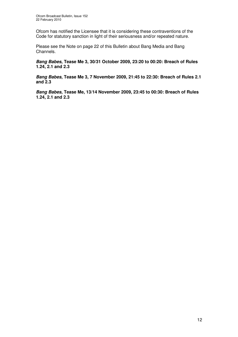Ofcom has notified the Licensee that it is considering these contraventions of the Code for statutory sanction in light of their seriousness and/or repeated nature.

Please see the Note on page 22 of this Bulletin about Bang Media and Bang Channels.

*Bang Babes***, Tease Me 3, 30/31 October 2009, 23:20 to 00:20: Breach of Rules 1.24, 2.1 and 2.3**

*Bang Babes***, Tease Me 3, 7 November 2009, 21:45 to 22:30: Breach of Rules 2.1 and 2.3**

*Bang Babes***, Tease Me, 13/14 November 2009, 23:45 to 00:30: Breach of Rules 1.24, 2.1 and 2.3**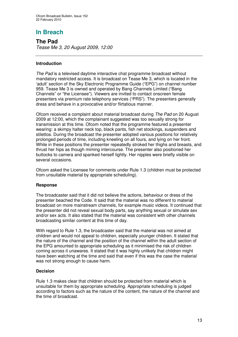**The Pad** *Tease Me 3, 20 August 2009, 12:00*

#### **Introduction**

*The Pad* is a televised daytime interactive chat programme broadcast without mandatory restricted access. It is broadcast on Tease Me 3, which is located in the 'adult' section of the Sky Electronic Programme Guide ("EPG") on channel number 959. Tease Me 3 is owned and operated by Bang Channels Limited ("Bang Channels" or "the Licensee"). Viewers are invited to contact onscreen female presenters via premium rate telephony services ("PRS"). The presenters generally dress and behave in a provocative and/or flirtatious manner.

Ofcom received a complaint about material broadcast during *The Pad* on 20 August 2009 at 12:00, which the complainant suggested was too sexually strong for transmission at this time. Ofcom noted that the programme featured a presenter wearing: a skimpy halter neck top, black pants, fish net stockings, suspenders and stilettos. During the broadcast the presenter adopted various positions for relatively prolonged periods of time, including kneeling on all fours, and lying on her front. While in these positions the presenter repeatedly stroked her thighs and breasts, and thrust her hips as though miming intercourse. The presenter also positioned her buttocks to camera and spanked herself lightly. Her nipples were briefly visible on several occasions.

Ofcom asked the Licensee for comments under Rule 1.3 (children must be protected from unsuitable material by appropriate scheduling).

#### **Response**

The broadcaster said that it did not believe the actions, behaviour or dress of the presenter beached the Code. It said that the material was no different to material broadcast on more mainstream channels, for example music videos. It continued that the presenter did not reveal sexual body parts, say anything sexual or simulate sex and/or sex acts. It also stated that the material was consistent with other channels broadcasting similar content at this time of day.

With regard to Rule 1.3, the broadcaster said that the material was not aimed at children and would not appeal to children, especially younger children. It stated that the nature of the channel and the position of the channel within the adult section of the EPG amounted to appropriate scheduling as it minimised the risk of children coming across it unawares. It stated that it was highly unlikely that children might have been watching at the time and said that even if this was the case the material was not strong enough to cause harm.

#### **Decision**

Rule 1.3 makes clear that children should be protected from material which is unsuitable for them by appropriate scheduling. Appropriate scheduling is judged according to factors such as the nature of the content, the nature of the channel and the time of broadcast.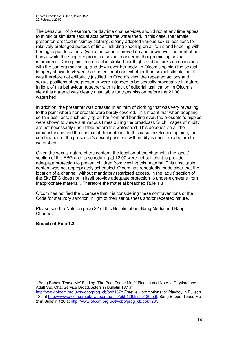The behaviour of presenters for daytime chat services should not at any time appear to mimic or simulate sexual acts before the watershed. In this case, the female presenter, dressed in skimpy clothing, clearly adopted various sexual positions for relatively prolonged periods of time, including kneeling on all fours and kneeling with her legs open to camera (while the camera moved up and down over the front of her body), while thrusting her groin in a sexual manner as though miming sexual intercourse. During this time she also stroked her thighs and buttocks on occasions with the camera moving up and down over her body. In Ofcom's opinion the sexual imagery shown to viewers had no editorial context other than sexual stimulation. It was therefore not editorially justified. In Ofcom's view the repeated actions and sexual positions of the presenter were intended to be sexually provocative in nature. In light of this behaviour, together with its lack of editorial justification, in Ofcom's view this material was clearly unsuitable for transmission before the 21:00 watershed.

In addition, the presenter was dressed in an item of clothing that was very revealing to the point where her breasts were barely covered. This meant that when adopting certain positions, such as lying on her front and bending over, the presenter's nipples were shown to viewers at various times during the broadcast. Such images of nudity are not necessarily unsuitable before the watershed. This depends on all the circumstances and the context of the material. In this case, in Ofcom's opinion, the combination of the presenter's sexual positions with nudity is unsuitable before the watershed.

Given the sexual nature of the content, the location of the channel in the 'adult' section of the EPG and its scheduling at 12:00 were not sufficient to provide adequate protection to prevent children from viewing this material. This unsuitable content was not appropriately scheduled. Ofcom has repeatedly made clear that the location of a channel, without mandatory restricted access, in the 'adult' section of the Sky EPG does not in itself provide adequate protection to under-eighteens from inappropriate material<sup>1</sup>. Therefore the material breached Rule 1.3

Ofcom has notified the Licensee that it is considering these contraventions of the Code for statutory sanction in light of their seriousness and/or repeated nature.

Please see the Note on page 22 of this Bulletin about Bang Media and Bang Channels.

#### **Breach of Rule 1.3**

<sup>1</sup> Bang Babes 'Tease Me' Finding, The Pad 'Tease Me 2' Finding and Note to Daytime and Adult Sex Chat Service Broadcasters in Bulletin 137 at

http://www.ofcom.org.uk/tv/obb/prog\_cb/obb137/; Freeview promotions for Playboy in Bulletin 139 at http://www.ofcom.org.uk/tv/obb/prog\_cb/obb139/Issue139.pdf, Bang Babes 'Tease Me 2' in Bulletin 120 at http://www.ofcom.org.uk/tv/obb/prog\_cb/obb120/.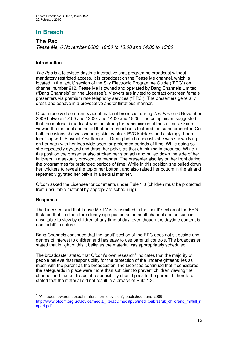## **The Pad**

*Tease Me, 6 November 2009, 12:00 to 13:00 and 14:00 to 15:00*

#### **Introduction**

*The Pad* is a televised daytime interactive chat programme broadcast without mandatory restricted access. It is broadcast on the Tease Me channel, which is located in the 'adult' section of the Sky Electronic Programme Guide ("EPG") on channel number 912. Tease Me is owned and operated by Bang Channels Limited ("Bang Channels" or "the Licensee"). Viewers are invited to contact onscreen female presenters via premium rate telephony services ("PRS"). The presenters generally dress and behave in a provocative and/or flirtatious manner.

Ofcom received complaints about material broadcast during *The Pad* on 6 November 2009 between  $12:00$  and  $13:00$ , and  $14:00$  and  $15:00$ . The complainant suggested that the material broadcast was too strong for transmission at these times. Ofcom viewed the material and noted that both broadcasts featured the same presenter. On both occasions she was wearing skimpy black PVC knickers and a skimpy "boob tube" top with 'Playmate' written on it. During both broadcasts she was shown lying on her back with her legs wide open for prolonged periods of time. While doing so she repeatedly gyrated and thrust her pelvis as though miming intercourse. While in this position the presenter also stroked her stomach and pulled down the side of her knickers in a sexually provocative manner. The presenter also lay on her front during the programmes for prolonged periods of time. While in this position she pulled down her knickers to reveal the top of her bottom, and also raised her bottom in the air and repeatedly gyrated her pelvis in a sexual manner.

Ofcom asked the Licensee for comments under Rule 1.3 (children must be protected from unsuitable material by appropriate scheduling).

#### **Response**

The Licensee said that Tease Me TV is transmitted in the 'adult' section of the EPG. It stated that it is therefore clearly sign posted as an adult channel and as such is unsuitable to view by children at any time of day, even though the daytime content is non-'adult' in nature.

Bang Channels continued that the 'adult' section of the EPG does not sit beside any genres of interest to children and has easy to use parental controls. The broadcaster stated that in light of this it believes the material was appropriately scheduled.

The broadcaster stated that Ofcom's own research<sup>1</sup> indicates that the majority of people believe that responsibility for the protection of the under-eighteens lies as much with the parent as the broadcaster. The Licensee continued that it considered the safeguards in place were more than sufficient to prevent children viewing the channel and that at this point responsibility should pass to the parent. It therefore stated that the material did not result in a breach of Rule 1.3.

<sup>&</sup>lt;sup>1</sup> "Attitudes towards sexual material on television", published June 2009, http://www.ofcom.org.uk/advice/media\_literacy/medlitpub/medlitpubrss/uk\_childrens\_ml/full\_r eport.pdf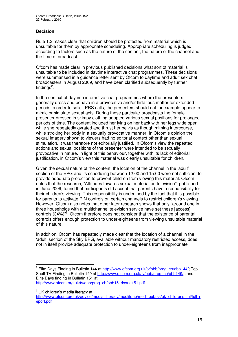#### **Decision**

Rule 1.3 makes clear that children should be protected from material which is unsuitable for them by appropriate scheduling. Appropriate scheduling is judged according to factors such as the nature of the content, the nature of the channel and the time of broadcast.

Ofcom has made clear in previous published decisions what sort of material is unsuitable to be included in daytime interactive chat programmes. These decisions were summarised in a guidance letter sent by Ofcom to daytime and adult sex chat broadcasters in August 2009, and have been clarified subsequently by further findings<sup>2</sup>.

In the context of daytime interactive chat programmes where the presenters generally dress and behave in a provocative and/or flirtatious matter for extended periods in order to solicit PRS calls, the presenters should not for example appear to mimic or simulate sexual acts. During these particular broadcasts the female presenter dressed in skimpy clothing adopted various sexual positions for prolonged periods of time. The content included her lying on her back with her legs wide open while she repeatedly gyrated and thrust her pelvis as though miming intercourse, while stroking her body in a sexually provocative manner. In Ofcom's opinion the sexual imagery shown to viewers had no editorial context other than sexual stimulation. It was therefore not editorially justified. In Ofcom's view the repeated actions and sexual positions of the presenter were intended to be sexually provocative in nature. In light of this behaviour, together with its lack of editorial justification, in Ofcom's view this material was clearly unsuitable for children.

Given the sexual nature of the content, the location of the channel in the 'adult' section of the EPG and its scheduling between 12:00 and 15:00 were not sufficient to provide adequate protection to prevent children from viewing this material. Ofcom notes that the research, "Attitudes towards sexual material on television", published in June 2009, found that participants did accept that parents have a responsibility for their children's viewing. This responsibility is underlined by the fact that it is possible for parents to activate PIN controls on certain channels to restrict children's viewing. However, Ofcom also notes that other later research shows that only "around one in three households with a multichannel television service have set these [access] controls (34%)"<sup>3</sup>. Ofcom therefore does not consider that the existence of parental controls offers enough protection to under-eighteens from viewing unsuitable material of this nature.

In addition, Ofcom has repeatedly made clear that the location of a channel in the 'adult' section of the Sky EPG, available without mandatory restricted access, does not in itself provide adequate protection to under-eighteens from inappropriate

<sup>&</sup>lt;sup>2</sup> Elite Days Finding in Bulletin 144 at http://www.ofcom.org.uk/tv/obb/prog\_cb/obb144/; Top Shelf TV Finding in Bulletin 149 at http://www.ofcom.org.uk/tv/obb/prog\_cb/obb149/.; and Elite Days finding in Bulletin 151 at http://www.ofcom.org.uk/tv/obb/prog\_cb/obb151/Issue151.pdf

<sup>&</sup>lt;sup>3</sup> UK children's media literacy at:

http://www.ofcom.org.uk/advice/media\_literacy/medlitpub/medlitpubrss/uk\_childrens\_ml/full\_r eport.pdf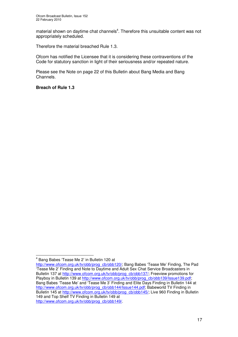material shown on daytime chat channels<sup>4</sup>. Therefore this unsuitable content was not appropriately scheduled.

Therefore the material breached Rule 1.3.

Ofcom has notified the Licensee that it is considering these contraventions of the Code for statutory sanction in light of their seriousness and/or repeated nature.

Please see the Note on page 22 of this Bulletin about Bang Media and Bang Channels.

#### **Breach of Rule 1.3**

<sup>4</sup> Bang Babes 'Tease Me 2' in Bulletin 120 at

http://www.ofcom.org.uk/tv/obb/prog\_cb/obb120/; Bang Babes 'Tease Me' Finding, The Pad 'Tease Me 2' Finding and Note to Daytime and Adult Sex Chat Service Broadcasters in Bulletin 137 at http://www.ofcom.org.uk/tv/obb/prog\_cb/obb137/; Freeview promotions for Playboy in Bulletin 139 at http://www.ofcom.org.uk/tv/obb/prog\_cb/obb139/Issue139.pdf; Bang Babes 'Tease Me' and 'Tease Me 3' Finding and Elite Days Finding in Bulletin 144 at http://www.ofcom.org.uk/tv/obb/prog\_cb/obb144/Issue144.pdf; Babeworld TV Finding in Bulletin 145 at http://www.ofcom.org.uk/tv/obb/prog\_cb/obb145/; Live 960 Finding in Bulletin 149 and Top Shelf TV Finding in Bulletin 149 at http://www.ofcom.org.uk/tv/obb/prog\_cb/obb149/.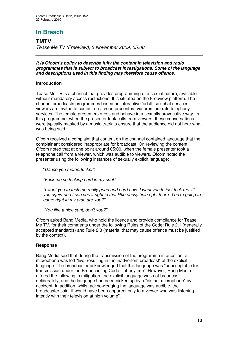**TMTV** *Tease Me TV (Freeview), 3 November 2009, 05:00*

*It is Ofcom's policy to describe fully the content in television and radio programmes that is subject to broadcast investigations. Some of the language and descriptions used in this finding may therefore cause offence.*

#### **Introduction**

Tease Me TV is a channel that provides programming of a sexual nature, available without mandatory access restrictions. It is situated on the Freeview platform. The channel broadcasts programmes based on interactive 'adult' sex chat services: viewers are invited to contact on-screen presenters via premium rate telephony services. The female presenters dress and behave in a sexually provocative way. In this programme, when the presenter took calls from viewers, these conversations were typically masked by a music track to ensure that the audience did not hear what was being said.

Ofcom received a complaint that content on the channel contained language that the complainant considered inappropriate for broadcast. On reviewing the content, Ofcom noted that at one point around 05:00, when the female presenter took a telephone call from a viewer, which was audible to viewers. Ofcom noted the presenter using the following instances of sexually explicit language:

"*Dance you motherfucker".*

*"Fuck me so fucking hard in my cunt".*

*"I want you to fuck me really good and hard now. I want you to just fuck me 'til you squirt and I can see it right in that little pussy hole right there. You're going to come right in my arse are you?"*

*"You like a nice cunt, don't you?"*

Ofcom asked Bang Media, who hold the licence and provide compliance for Tease Me TV, for their comments under the following Rules of the Code: Rule 2.1 (generally accepted standards) and Rule 2.3 (material that may cause offence must be justified by the context).

#### **Response**

Bang Media said that during the transmission of the programme in question, a microphone was left "live, resulting in the inadvertent broadcast" of the explicit language. The broadcaster acknowledged that this language was "unacceptable for transmission under the Broadcasting Code…at anytime". However, Bang Media offered the following in mitigation: the explicit language was not broadcast deliberately; and the language had been picked up by a "distant microphone" by accident. In addition, whilst acknowledging the language was audible, the broadcaster said "it would have been apparent only to a viewer who was listening intently with their television at high volume".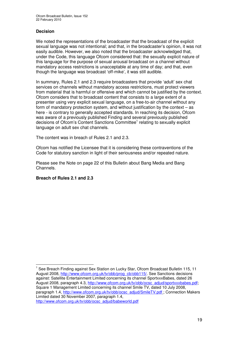#### **Decision**

We noted the representations of the broadcaster that the broadcast of the explicit sexual language was not intentional; and that, in the broadcaster's opinion, it was not easily audible. However, we also noted that the broadcaster acknowledged that, under the Code, this language Ofcom considered that: the sexually explicit nature of this language for the purpose of sexual arousal broadcast on a channel without mandatory access restrictions is unacceptable at any time of day; and that, even though the language was broadcast 'off-mike', it was still audible.

In summary, Rules 2.1 and 2.3 require broadcasters that provide 'adult' sex chat services on channels without mandatory access restrictions, must protect viewers from material that is harmful or offensive and which cannot be justified by the context. Ofcom considers that to broadcast content that consists to a large extent of a presenter using very explicit sexual language, on a free-to-air channel without any form of mandatory protection system, and without justification by the context – as here - is contrary to generally accepted standards. In reaching its decision, Ofcom was aware of a previously published Finding and several previously published decisions of Ofcom's Content Sanctions Committee<sup>1</sup> relating to sexually explicit language on adult sex chat channels.

The content was in breach of Rules 2.1 and 2.3.

Ofcom has notified the Licensee that it is considering these contraventions of the Code for statutory sanction in light of their seriousness and/or repeated nature.

Please see the Note on page 22 of this Bulletin about Bang Media and Bang Channels.

#### **Breach of Rules 2.1 and 2.3**

<sup>1</sup> See Breach Finding against Sex Station on Lucky Star, Ofcom Broadcast Bulletin 115, 11 August 2008, http://www.ofcom.org.uk/tv/obb/prog\_cb/obb115/. See Sanctions decisions against: Satellite Entertainment Limited concerning its channel SportxxxBabes, dated 26 August 2008, paragraph 4.3, http://www.ofcom.org.uk/tv/obb/ocsc\_adjud/sportxxxbabes.pdf; Square 1 Management Limited concerning its channel Smile TV, dated 10 July 2008, paragraph 1.4, http://www.ofcom.org.uk/tv/obb/ocsc\_adjud/SmileTV.pdf ; Connection Makers Limited dated 30 November 2007, paragraph 1.4, http://www.ofcom.org.uk/tv/obb/ocsc\_adjud/babeworld.pdf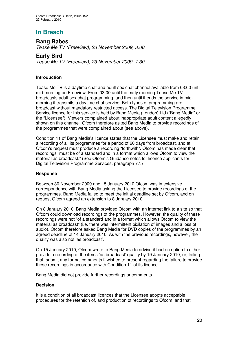## **Bang Babes**

*Tease Me TV (Freeview), 23 November 2009, 3:00*

## **Early Bird**

*Tease Me TV (Freeview), 23 November 2009, 7:30*

#### **Introduction**

Tease Me TV is a daytime chat and adult sex chat channel available from 03:00 until mid-morning on Freeview. From 03:00 until the early morning Tease Me TV broadcasts adult sex chat programming, and then until it ends the service in midmorning it transmits a daytime chat service. Both types of programming are broadcast without mandatory restricted access. The Digital Television Programme Service licence for this service is held by Bang Media (London) Ltd ("Bang Media" or the "Licensee"). Viewers complained about inappropriate adult content allegedly shown on this channel. Ofcom therefore asked Bang Media to provide recordings of the programmes that were complained about (see above).

Condition 11 of Bang Media's licence states that the Licensee must make and retain a recording of all its programmes for a period of 60 days from broadcast, and at Ofcom's request must produce a recording "forthwith". Ofcom has made clear that recordings "must be of a standard and in a format which allows Ofcom to view the material as broadcast." (See Ofcom's Guidance notes for licence applicants for Digital Television Programme Services, paragraph 77.)

#### **Response**

Between 30 November 2009 and 15 January 2010 Ofcom was in extensive correspondence with Bang Media asking the Licensee to provide recordings of the programmes. Bang Media failed to meet the initial deadline set by Ofcom, and on request Ofcom agreed an extension to 8 January 2010.

On 8 January 2010, Bang Media provided Ofcom with an internet link to a site so that Ofcom could download recordings of the programmes. However, the quality of these recordings were not "of a standard and in a format which allows Ofcom to view the material as broadcast" (i.e. there was intermittent pixilation of images and a loss of audio). Ofcom therefore asked Bang Media for DVD copies of the programmes by an agreed deadline of 14 January 2010. As with the previous recordings, however, the quality was also not 'as broadcast'.

On 15 January 2010, Ofcom wrote to Bang Media to advise it had an option to either provide a recording of the items 'as broadcast' quality by 19 January 2010; or, failing that, submit any formal comments it wished to present regarding the failure to provide these recordings in accordance with Condition 11 of its licence.

Bang Media did not provide further recordings or comments.

#### **Decision**

It is a condition of all broadcast licences that the Licensee adopts acceptable procedures for the retention of, and production of recordings to Ofcom, and that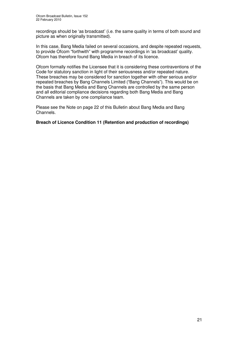recordings should be 'as broadcast' (i.e. the same quality in terms of both sound and picture as when originally transmitted).

In this case, Bang Media failed on several occasions, and despite repeated requests, to provide Ofcom "forthwith" with programme recordings in 'as broadcast' quality. Ofcom has therefore found Bang Media in breach of its licence.

Ofcom formally notifies the Licensee that it is considering these contraventions of the Code for statutory sanction in light of their seriousness and/or repeated nature. These breaches may be considered for sanction together with other serious and/or repeated breaches by Bang Channels Limited ("Bang Channels"). This would be on the basis that Bang Media and Bang Channels are controlled by the same person and all editorial compliance decisions regarding both Bang Media and Bang Channels are taken by one compliance team.

Please see the Note on page 22 of this Bulletin about Bang Media and Bang Channels.

**Breach of Licence Condition 11 (Retention and production of recordings)**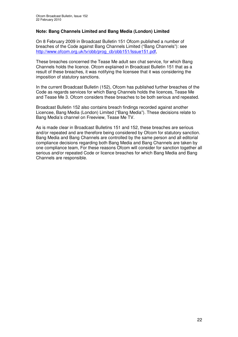#### **Note: Bang Channels Limited and Bang Media (London) Limited**

On 8 February 2009 in Broadcast Bulletin 151 Ofcom published a number of breaches of the Code against Bang Channels Limited ("Bang Channels"): see http://www.ofcom.org.uk/tv/obb/prog\_cb/obb151/Issue151.pdf,

These breaches concerned the Tease Me adult sex chat service, for which Bang Channels holds the licence. Ofcom explained in Broadcast Bulletin 151 that as a result of these breaches, it was notifying the licensee that it was considering the imposition of statutory sanctions.

In the current Broadcast Bulletin (152), Ofcom has published further breaches of the Code as regards services for which Bang Channels holds the licences, Tease Me and Tease Me 3. Ofcom considers these breaches to be both serious and repeated.

Broadcast Bulletin 152 also contains breach findings recorded against another Licencee, Bang Media (London) Limited ("Bang Media"). These decisions relate to Bang Media's channel on Freeview, Tease Me TV.

As is made clear in Broadcast Bulletins 151 and 152, these breaches are serious and/or repeated and are therefore being considered by Ofcom for statutory sanction. Bang Media and Bang Channels are controlled by the same person and all editorial compliance decisions regarding both Bang Media and Bang Channels are taken by one compliance team, For these reasons Ofcom will consider for sanction together all serious and/or repeated Code or licence breaches for which Bang Media and Bang Channels are responsible.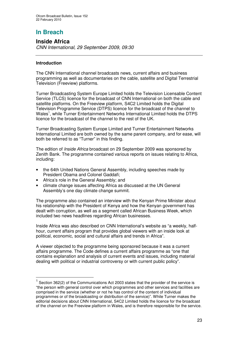**Inside Africa** *CNN International, 29 September 2009, 09:30*

#### **Introduction**

The CNN International channel broadcasts news, current affairs and business programming as well as documentaries on the cable, satellite and Digital Terrestrial Television (Freeview) platforms.

Turner Broadcasting System Europe Limited holds the Television Licensable Content Service (TLCS) licence for the broadcast of CNN International on both the cable and satellite platforms. On the Freeview platform, S4C2 Limited holds the Digital Television Programme Service (DTPS) licence for the broadcast of the channel to Wales<sup>1</sup>, while Turner Entertainment Networks International Limited holds the DTPS licence for the broadcast of the channel to the rest of the UK.

Turner Broadcasting System Europe Limited and Turner Entertainment Networks International Limited are both owned by the same parent company, and for ease, will both be referred to as "Turner" in this finding.

The edition of *Inside Africa* broadcast on 29 September 2009 was sponsored by Zenith Bank. The programme contained various reports on issues relating to Africa, including:

- the 64th United Nations General Assembly, including speeches made by President Obama and Colonel Gaddafi;
- Africa's role in the General Assembly; and
- climate change issues affecting Africa as discussed at the UN General Assembly's one day climate change summit.

The programme also contained an interview with the Kenyan Prime Minister about his relationship with the President of Kenya and how the Kenyan government has dealt with corruption, as well as a segment called African Business Week, which included two news headlines regarding African businesses.

Inside Africa was also described on CNN International's website as "a weekly, halfhour, current affairs program that provides global viewers with an inside look at political, economic, social and cultural affairs and trends in Africa".

A viewer objected to the programme being sponsored because it was a current affairs programme. The Code defines a current affairs programme as "one that contains explanation and analysis of current events and issues, including material dealing with political or industrial controversy or with current public policy".

<sup>1</sup> Section 362(2) of the Communications Act 2003 states that the provider of the service is "the person with general control over which programmes and other services and facilities are comprised in the service (whether or not he has control of the content of individual programmes or of the broadcasting or distribution of the service)". While Turner makes the editorial decisions about CNN International, S4C2 Limited holds the licence for the broadcast of the channel on the Freeview platform in Wales, and is therefore responsible for the service.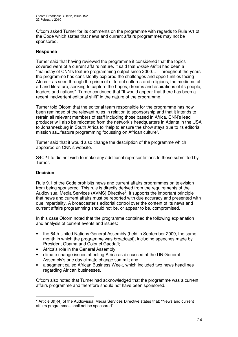Ofcom asked Turner for its comments on the programme with regards to Rule 9.1 of the Code which states that news and current affairs programmes may not be sponsored.

#### **Response**

Turner said that having reviewed the programme it considered that the topics covered were of a current affairs nature. It said that *Inside Africa* had been a "mainstay of CNN's feature programming output since 2000…. Throughout the years the programme has consistently explored the challenges and opportunities facing Africa – as seen through the prism of different cultures and religions, the mediums of art and literature, seeking to capture the hopes, dreams and aspirations of its people, leaders and nations". Turner continued that "It would appear that there has been a recent inadvertent editorial shift" in the nature of the programme.

Turner told Ofcom that the editorial team responsible for the programme has now been reminded of the relevant rules in relation to sponsorship and that it intends to retrain all relevant members of staff including those based in Africa. CNN's lead producer will also be relocated from the network's headquarters in Atlanta in the USA to Johannesburg in South Africa to "help to ensure the show stays true to its editorial mission as...feature programming focussing on African culture".

Turner said that it would also change the description of the programme which appeared on CNN's website.

S4C2 Ltd did not wish to make any additional representations to those submitted by Turner.

#### **Decision**

Rule 9.1 of the Code prohibits news and current affairs programmes on television from being sponsored. This rule is directly derived from the requirements of the Audiovisual Media Services (AVMS) Directive<sup>2</sup>. It supports the important principle that news and current affairs must be reported with due accuracy and presented with due impartiality. A broadcaster's editorial control over the content of its news and current affairs programming should not be, or appear to be, compromised.

In this case Ofcom noted that the programme contained the following explanation and analysis of current events and issues:

- the 64th United Nations General Assembly (held in September 2009, the same month in which the programme was broadcast), including speeches made by President Obama and Colonel Gaddafi;
- Africa's role in the General Assembly;
- climate change issues affecting Africa as discussed at the UN General Assembly's one day climate change summit; and
- a segment called African Business Week, which included two news headlines regarding African businesses.

Ofcom also noted that Turner had acknowledged that the programme was a current affairs programme and therefore should not have been sponsored.

 $2$  Article 3(f)(4) of the Audiovisual Media Services Directive states that: "News and current affairs programmes shall not be sponsored".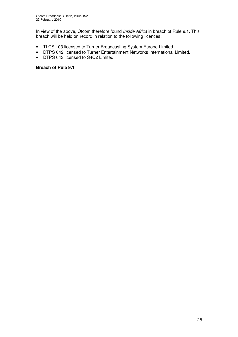In view of the above, Ofcom therefore found *Inside Africa* in breach of Rule 9.1. This breach will be held on record in relation to the following licences:

- TLCS 103 licensed to Turner Broadcasting System Europe Limited.
- DTPS 042 licensed to Turner Entertainment Networks International Limited.
- DTPS 043 licensed to S4C2 Limited.

#### **Breach of Rule 9.1**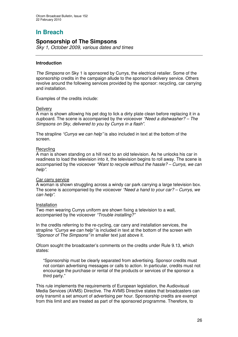## **Sponsorship of The Simpsons**

*Sky 1, October 2009, various dates and times*

#### **Introduction**

*The Simpsons* on Sky 1 is sponsored by Currys, the electrical retailer. Some of the sponsorship credits in the campaign allude to the sponsor's delivery service. Others revolve around the following services provided by the sponsor: recycling, car carrying and installation.

Examples of the credits include:

#### **Delivery**

A man is shown allowing his pet dog to lick a dirty plate clean before replacing it in a cupboard. The scene is accompanied by the voiceover *"Need a dishwasher? – The Simpsons on Sky, delivered to you by Currys in a flash".*

The strapline *"Currys we can help"* is also included in text at the bottom of the screen.

#### Recycling

A man is shown standing on a hill next to an old television. As he unlocks his car in readiness to load the television into it, the television begins to roll away. The scene is accompanied by the voiceover *"Want to recycle without the hassle? – Currys, we can help"*.

#### Car carry service

A woman is shown struggling across a windy car park carrying a large television box. The scene is accompanied by the voiceover *"Need a hand to your car? – Currys, we can help".*

#### Installation

Two men wearing Currys uniform are shown fixing a television to a wall, accompanied by the voiceover *"Trouble installing?"*

In the credits referring to the re-cycling, car carry and installation services, the strapline *"Currys we can help"* is included in text at the bottom of the screen with *"Sponsor of The Simpsons"* in smaller text just above it.

Ofcom sought the broadcaster's comments on the credits under Rule 9.13, which states:

"Sponsorship must be clearly separated from advertising. Sponsor credits must not contain advertising messages or calls to action. In particular, credits must not encourage the purchase or rental of the products or services of the sponsor a third party."

This rule implements the requirements of European legislation, the Audiovisual Media Services (AVMS) Directive. The AVMS Directive states that broadcasters can only transmit a set amount of advertising per hour. Sponsorship credits are exempt from this limit and are treated as part of the sponsored programme. Therefore, to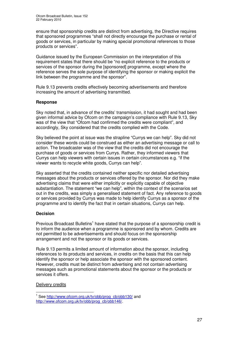ensure that sponsorship credits are distinct from advertising, the Directive requires that sponsored programmes "shall not directly encourage the purchase or rental of goods or services, in particular by making special promotional references to those products or services".

Guidance issued by the European Commission on the interpretation of this requirement states that there should be "no explicit reference to the products or services of the sponsor during the [sponsored] programme, except where the reference serves the sole purpose of identifying the sponsor or making explicit the link between the programme and the sponsor".

Rule 9.13 prevents credits effectively becoming advertisements and therefore increasing the amount of advertising transmitted.

#### **Response**

Sky noted that, in advance of the credits' transmission, it had sought and had been given informal advice by Ofcom on the campaign's compliance with Rule 9.13, Sky was of the view that "Ofcom had confirmed the credits were compliant", and accordingly, Sky considered that the credits complied with the Code.

Sky believed the point at issue was the strapline "Currys we can help". Sky did not consider these words could be construed as either an advertising message or call to action. The broadcaster was of the view that the credits did not encourage the purchase of goods or services from Currys. Rather, they informed viewers that Currys can help viewers with certain issues in certain circumstances e.g. "if the viewer wants to recycle white goods, Currys can help".

Sky asserted that the credits contained neither specific nor detailed advertising messages about the products or services offered by the sponsor. Nor did they make advertising claims that were either implicitly or explicitly capable of objective substantiation. The statement "we can help", within the context of the scenarios set out in the credits, was simply a generalised statement of fact. Any reference to goods or services provided by Currys was made to help identify Currys as a sponsor of the programme and to identify the fact that in certain situations, Currys can help.

#### **Decision**

Previous Broadcast Bulletins<sup>1</sup> have stated that the purpose of a sponsorship credit is to inform the audience when a programme is sponsored and by whom. Credits are not permitted to be advertisements and should focus on the sponsorship arrangement and not the sponsor or its goods or services.

Rule 9.13 permits a limited amount of information about the sponsor, including references to its products and services, in credits on the basis that this can help identify the sponsor or help associate the sponsor with the sponsored content. However, credits must be distinct from advertising and not contain advertising messages such as promotional statements about the sponsor or the products or services it offers.

#### Delivery credits

<sup>&</sup>lt;sup>1</sup> See http://www.ofcom.org.uk/tv/obb/prog\_cb/obb130/ and http://www.ofcom.org.uk/tv/obb/prog\_cb/obb146/.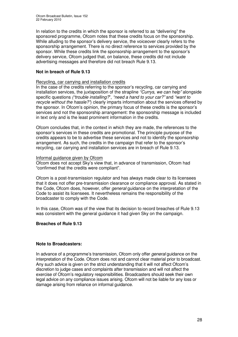In relation to the credits in which the sponsor is referred to as "delivering" the sponsored programme, Ofcom notes that these credits focus on the sponsorship. While alluding to the sponsor's delivery service, the voiceover clearly refers to the sponsorship arrangement. There is no direct reference to services provided by the sponsor. While these credits link the sponsorship arrangement to the sponsor's delivery service, Ofcom judged that, on balance, these credits did not include advertising messages and therefore did not breach Rule 9.13.

#### **Not in breach of Rule 9.13**

#### Recycling, car carrying and installation credits

In the case of the credits referring to the sponsor's recycling, car carrying and installation services, the juxtaposition of the strapline *"Currys, we can help"* alongside specific questions *("trouble installing?*", *"need a hand to your car?"* and *"want to recycle without the hassle?"*) clearly imparts information about the services offered by the sponsor. In Ofcom's opinion, the primary focus of these credits is the sponsor's services and not the sponsorship arrangement: the sponsorship message is included in text only and is the least prominent information in the credits.

Ofcom concludes that, in the context in which they are made, the references to the sponsor's services in these credits are promotional. The principle purpose of the credits appears to be to advertise these services and not to identify the sponsorship arrangement. As such, the credits in the campaign that refer to the sponsor's recycling, car carrying and installation services are in breach of Rule 9.13.

#### Informal guidance given by Ofcom

Ofcom does not accept Sky's view that, in advance of transmission, Ofcom had "confirmed that the credits were compliant".

Ofcom is a post-transmission regulator and has always made clear to its licensees that it does not offer pre-transmission clearance or compliance approval. As stated in the Code, Ofcom does, however, offer *general* guidance on the interpretation of the Code to assist its licensees. It nevertheless remains the responsibility of the broadcaster to comply with the Code.

In this case, Ofcom was of the view that its decision to record breaches of Rule 9.13 was consistent with the general guidance it had given Sky on the campaign.

#### **Breaches of Rule 9.13**

#### **Note to Broadcasters:**

In advance of a programme's transmission, Ofcom only offer *general* guidance on the interpretation of the Code. Ofcom does not and cannot clear material prior to broadcast. Any such advice is given on the strict understanding that it will not affect Ofcom's discretion to judge cases and complaints after transmission and will not affect the exercise of Ofcom's regulatory responsibilities. Broadcasters should seek their own legal advice on any compliance issues arising. Ofcom will not be liable for any loss or damage arising from reliance on informal guidance.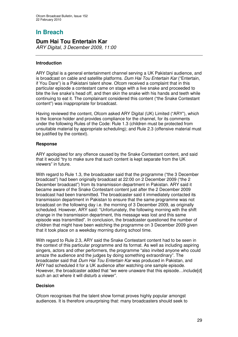## **Dum Hai Tou Entertain Kar**

*ARY Digital, 3 December 2009, 11:00*

#### **Introduction**

ARY Digital is a general entertainment channel serving a UK Pakistani audience, and is broadcast on cable and satellite platforms. *Dum Hai Tou Entertain Kar* ("Entertain, if You Dare") is a Pakistani talent show. Ofcom received a complaint that in this particular episode a contestant came on stage with a live snake and proceeded to bite the live snake's head off, and then skin the snake with his hands and teeth while continuing to eat it. The complainant considered this content ("the Snake Contestant content") was inappropriate for broadcast.

Having reviewed the content, Ofcom asked ARY Digital (UK) Limited ("ARY"), which is the licence holder and provides compliance for the channel, for its comments under the following Rules of the Code: Rule 1.3 (children must be protected from unsuitable material by appropriate scheduling); and Rule 2.3 (offensive material must be justified by the context).

#### **Response**

ARY apologised for any offence caused by the Snake Contestant content, and said that it would "try to make sure that such content is kept separate from the UK viewers" in future.

With regard to Rule 1.3, the broadcaster said that the programme ("the 3 December broadcast") had been originally broadcast at 22:00 on 2 December 2009 ("the 2 December broadcast") from its transmission department in Pakistan. ARY said it became aware of the Snake Contestant content just after the 2 December 2009 broadcast had been transmitted. The broadcaster said it immediately contacted its transmission department in Pakistan to ensure that the same programme was not broadcast on the following day i.e. the morning of 3 December 2009, as originally scheduled. However, ARY said: "Unfortunately, the following morning with the shift change in the transmission department, this message was lost and this same episode was transmitted". In conclusion, the broadcaster questioned the number of children that might have been watching the programme on 3 December 2009 given that it took place on a weekday morning during school time.

With regard to Rule 2.3, ARY said the Snake Contestant content had to be seen in the context of this particular programme and its format. As well as including aspiring singers, actors and other performers, the programme "also invited anyone who could amaze the audience and the judges by doing something extraordinary". The broadcaster said that *Dum Hai Tou Entertain Kar* was produced in Pakistan, and ARY had scheduled it for a UK audience after watching one sample episode. However, the broadcaster added that "we were unaware that this episode…include[d] such an act where it will disturb a viewer".

### **Decision**

Ofcom recognises that the talent show format proves highly popular amongst audiences. It is therefore unsurprising that: many broadcasters should seek to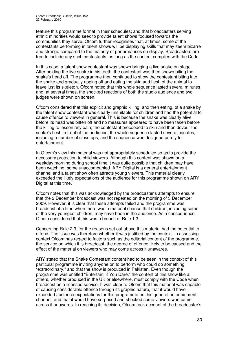feature this programme format in their schedules; and that broadcasters serving ethnic minorities would seek to provide talent shows focused towards the communities they serve. Ofcom further recognises that, at times, some of the contestants performing in talent shows will be displaying skills that may seem bizarre and strange compared to the majority of performances on display. Broadcasters are free to include any such contestants, as long as the content complies with the Code.

In this case, a talent show contestant was shown bringing a live snake on stage. After holding the live snake in his teeth, the contestant was then shown biting the snake's head off. The programme then continued to show the contestant biting into the snake and gradually ripping off and eating the skin and flesh of the animal to leave just its skeleton. Ofcom noted that this whole sequence lasted several minutes and, at several times, the shocked reactions of both the studio audience and two judges were shown on screen.

Ofcom considered that this explicit and graphic killing, and then eating, of a snake by the talent show contestant was clearly unsuitable for children and had the potential to cause offence to viewers in general. This is because the snake was clearly alive before its head was bitten off and no measures appeared to have been taken before the killing to lessen any pain; the contestant proceeded to skin and then devour the snake's flesh in front of the audience; the whole sequence lasted several minutes, including a number of close ups; and the sequence was designed purely for entertainment.

In Ofcom's view this material was not appropriately scheduled so as to provide the necessary protection to child viewers. Although this content was shown on a weekday morning during school time it was quite possible that children may have been watching, some unaccompanied. ARY Digital is a general entertainment channel and a talent show often attracts young viewers. This material clearly exceeded the likely expectations of the audience for this programme shown on ARY Digital at this time.

Ofcom notes that this was acknowledged by the broadcaster's attempts to ensure that the 2 December broadcast was not repeated on the morning of 3 December 2009. However, it is clear that these attempts failed and the programme was broadcast at a time when there was a material chance that children, including some of the very youngest children, may have been in the audience. As a consequence, Ofcom considered that this was a breach of Rule 1.3.

Concerning Rule 2.3, for the reasons set out above this material had the potential to offend. The issue was therefore whether it was justified by the context. In assessing context Ofcom has regard to factors such as the editorial content of the programme, the service on which it is broadcast, the degree of offence likely to be caused and the effect of the material on viewers who may come across it unawares.

ARY stated that the Snake Contestant content had to be seen in the context of this particular programme inviting anyone on to perform who could do something "extraordinary," and that the show is produced in Pakistan. Even though the programme was entitled "Entertain, if You Dare," the content of this show like all others, whether produced in the UK or elsewhere, must comply with the Code when broadcast on a licensed service. It was clear to Ofcom that this material was capable of causing considerable offence through its graphic nature, that it would have exceeded audience expectations for this programme on this general entertainment channel, and that it would have surprised and shocked some viewers who came across it unawares. In reaching its decision, Ofcom took account of the broadcaster's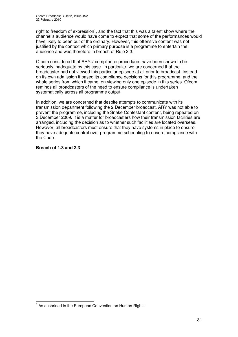right to freedom of expression<sup>1</sup>, and the fact that this was a talent show where the channel's audience would have come to expect that some of the performances would have likely to been out of the ordinary. However, this offensive content was not justified by the context which primary purpose is a programme to entertain the audience and was therefore in breach of Rule 2.3.

Ofcom considered that ARYs' compliance procedures have been shown to be seriously inadequate by this case. In particular, we are concerned that the broadcaster had not viewed this particular episode at all prior to broadcast. Instead on its own admission it based its compliance decisions for this programme, and the whole series from which it came, on viewing only one episode in this series. Ofcom reminds all broadcasters of the need to ensure compliance is undertaken systematically across all programme output.

In addition, we are concerned that despite attempts to communicate with its transmission department following the 2 December broadcast, ARY was not able to prevent the programme, including the Snake Contestant content, being repeated on 3 December 2009. It is a matter for broadcasters how their transmission facilities are arranged, including the decision as to whether such facilities are located overseas. However, all broadcasters must ensure that they have systems in place to ensure they have adequate control over programme scheduling to ensure compliance with the Code.

#### **Breach of 1.3 and 2.3**

<sup>&</sup>lt;sup>1</sup> As enshrined in the European Convention on Human Rights.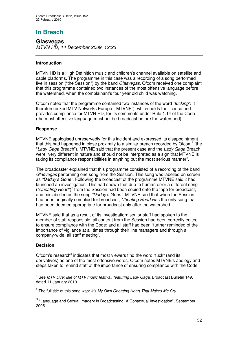**Glasvegas** *MTVN HD, 14 December 2009, 12:23*

#### **Introduction**

MTVN HD is a High Definition music and children's channel available on satellite and cable platforms. The programme in this case was a recording of a song performed live in session ("the Session") by the band *Glasvegas.* Ofcom received one complaint that this programme contained two instances of the most offensive language before the watershed, when the complainant's four year old child was watching.

Ofcom noted that the programme contained two instances of the word *"fucking"*. It therefore asked MTV Networks Europe ("MTVNE"), which holds the licence and provides compliance for MTVN HD, for its comments under Rule 1.14 of the Code (the most offensive language must not be broadcast before the watershed).

#### **Response**

MTVNE apologised unreservedly for this incident and expressed its disappointment that this had happened in close proximity to a similar breach recorded by Ofcom<sup>1</sup> (the "*Lady Gaga* Breach"). MTVNE said that the present case and the *Lady Gaga* Breach were "very different in nature and should not be interpreted as a sign that MTVNE is taking its compliance responsibilities in anything but the most serious manner".

The broadcaster explained that this programme consisted of a recording of the band *Glasvegas* performing one song from the Session. This song was labelled on screen as *"Daddy's Gone"*. Following the broadcast of the programme MTVNE said it had launched an investigation. This had shown that due to human error a different song ("Cheating Heart")<sup>2</sup> from the Session had been copied onto the tape for broadcast, and mislabelled as the song *"Daddy's Gone"*. MTVNE said that when the Session had been originally complied for broadcast, *Cheating Heart* was the only song that had been deemed appropriate for broadcast only after the watershed.

MTVNE said that as a result of its investigation: senior staff had spoken to the member of staff responsible; all content from the Session had been correctly edited to ensure compliance with the Code; and all staff had been "further reminded of the importance of vigilance at all times through their line managers and through a company-wide, all staff meeting".

#### **Decision**

Ofcom's research<sup>3</sup> indicates that most viewers find the word "fuck" (and its derivatives) as one of the most offensive words. Ofcom notes MTVNE's apology and steps taken to remind staff of the importance of ensuring compliance with the Code.

<sup>1</sup> See *MTV Live: Isle of MTV music festival, featuring Lady Gaga,* Broadcast Bulletin 149, dated 11 January 2010.

<sup>2</sup> The full title of this song was: *It's My Own Cheating Heart That Makes Me Cry.*

<sup>&</sup>lt;sup>3</sup> "Language and Sexual Imagery in Broadcasting: A Contextual Investigation", September 2005.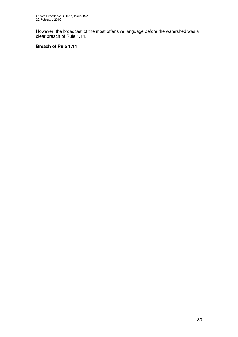However, the broadcast of the most offensive language before the watershed was a clear breach of Rule 1.14.

#### **Breach of Rule 1.14**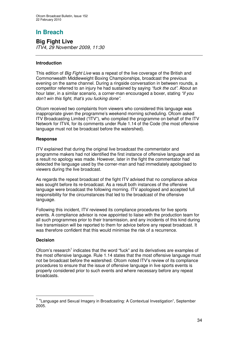**Big Fight Live** *ITV4, 29 November 2009, 11:30*

#### **Introduction**

This edition of *Big Fight Live* was a repeat of the live coverage of the British and Commonwealth Middleweight Boxing Championships, broadcast the previous evening on the same channel. During a ringside conversation in between rounds, a competitor referred to an injury he had sustained by saying *"fuck the cut".* About an hour later, in a similar scenario, a corner-man encouraged a boxer, stating *"if you don't win this fight, that's you fucking done".*

Ofcom received two complaints from viewers who considered this language was inappropriate given the programme's weekend morning scheduling. Ofcom asked ITV Broadcasting Limited ("ITV"), who complied the programme on behalf of the ITV Network for ITV4, for its comments under Rule 1.14 of the Code (the most offensive language must not be broadcast before the watershed).

#### **Response**

ITV explained that during the original live broadcast the commentator and programme makers had not identified the first instance of offensive language and as a result no apology was made. However, later in the fight the commentator had detected the language used by the corner-man and had immediately apologised to viewers during the live broadcast.

As regards the repeat broadcast of the fight ITV advised that no compliance advice was sought before its re-broadcast. As a result both instances of the offensive language were broadcast the following morning. ITV apologised and accepted full responsibility for the circumstances that led to the broadcast of the offensive language.

Following this incident, ITV reviewed its compliance procedures for live sports events. A compliance advisor is now appointed to liaise with the production team for all such programmes prior to their transmission, and any incidents of this kind during live transmission will be reported to them for advice before any repeat broadcast. It was therefore confident that this would minimise the risk of a recurrence.

#### **Decision**

Ofcom's research<sup>1</sup> indicates that the word "fuck" and its derivatives are examples of the most offensive language. Rule 1.14 states that the most offensive language must not be broadcast before the watershed. Ofcom noted ITV's review of its compliance procedures to ensure that the issue of offensive language in live sports events is properly considered prior to such events and where necessary before any repeat broadcasts.

<sup>&</sup>lt;sup>1</sup> "Language and Sexual Imagery in Broadcasting: A Contextual Investigation", September 2005.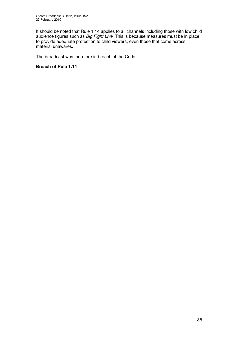It should be noted that Rule 1.14 applies to all channels including those with low child audience figures such as *Big Fight Live*. This is because measures must be in place to provide adequate protection to child viewers, even those that come across material unawares.

The broadcast was therefore in breach of the Code.

#### **Breach of Rule 1.14**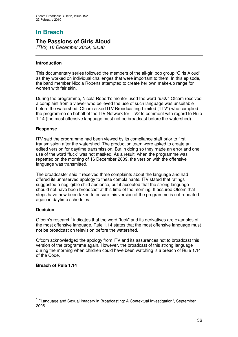## **The Passions of Girls Aloud**

*ITV2, 16 December 2009, 08:30*

#### **Introduction**

This documentary series followed the members of the all-girl pop group "Girls Aloud" as they worked on individual challenges that were important to them. In this episode, the band member Nicola Roberts attempted to create her own make-up range for women with fair skin.

During the programme, Nicola Robert's mentor used the word *"fuck"*. Ofcom received a complaint from a viewer who believed the use of such language was unsuitable before the watershed. Ofcom asked ITV Broadcasting Limited ("ITV") who complied the programme on behalf of the ITV Network for ITV2 to comment with regard to Rule 1.14 (the most offensive language must not be broadcast before the watershed).

#### **Response**

ITV said the programme had been viewed by its compliance staff prior to first transmission after the watershed. The production team were asked to create an edited version for daytime transmission. But in doing so they made an error and one use of the word "fuck" was not masked. As a result, when the programme was repeated on the morning of 16 December 2009, the version with the offensive language was transmitted.

The broadcaster said it received three complaints about the language and had offered its unreserved apology to these complainants. ITV stated that ratings suggested a negligible child audience, but it accepted that the strong language should not have been broadcast at this time of the morning. It assured Ofcom that steps have now been taken to ensure this version of the programme is not repeated again in daytime schedules.

#### **Decision**

Ofcom's research<sup>1</sup> indicates that the word "fuck" and its derivatives are examples of the most offensive language. Rule 1.14 states that the most offensive language must not be broadcast on television before the watershed.

Ofcom acknowledged the apology from ITV and its assurances not to broadcast this version of the programme again. However, the broadcast of this strong language during the morning when children could have been watching is a breach of Rule 1.14 of the Code.

#### **Breach of Rule 1.14**

<sup>&</sup>lt;sup>1</sup> "Language and Sexual Imagery in Broadcasting: A Contextual Investigation", September 2005.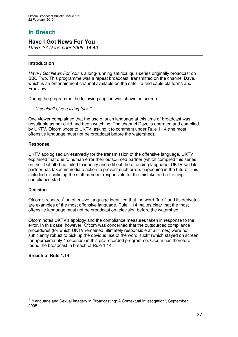# **In Breach**

# **Have I Got News For You**

*Dave, 27 December 2009, 14:40*

### **Introduction**

*Have I Got News For You* is a long-running satirical quiz series originally broadcast on BBC Two. This programme was a repeat broadcast, transmitted on the channel Dave, which is an entertainment channel available on the satellite and cable platforms and Freeview.

During the programme the following caption was shown on screen:

*"I couldn't give a flying fuck."*

One viewer complained that the use of such language at this time of broadcast was unsuitable as her child had been watching. The channel Dave is operated and complied by UKTV. Ofcom wrote to UKTV, asking it to comment under Rule 1.14 (the most offensive language must not be broadcast before the watershed).

### **Response**

UKTV apologised unreservedly for the transmission of the offensive language. UKTV explained that due to human error their outsourced partner (which complied this series on their behalf) had failed to identify and edit out the offending language. UKTV said its partner has taken immediate action to prevent such errors happening in the future. This included disciplining the staff member responsible for the mistake and retraining compliance staff.

### **Decision**

Ofcom's research<sup>1</sup> on offensive language identified that the word "fuck" and its derivates are examples of the most offensive language. Rule 1.14 makes clear that the most offensive language must not be broadcast on television before the watershed.

Ofcom notes UKTV's apology and the compliance measures taken in response to the error. In this case, however, Ofcom was concerned that the outsourced compliance procedures (for which UKTV remained ultimately responsible at all times) were not sufficiently robust to pick up the obvious use of the word "fuck" (which stayed on screen for approximately 4 seconds) in this pre-recorded programme. Ofcom has therefore found the broadcast in breach of Rule 1.14.

## **Breach of Rule 1.14**

<sup>&</sup>lt;sup>1</sup> "Language and Sexual Imagery in Broadcasting: A Contextual Investigation", September 2005.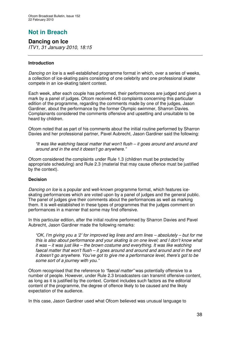# **Not in Breach**

# **Dancing on Ice**

*ITV1, 31 January 2010, 18:15*

### **Introduction**

*Dancing on Ice* is a well-established programme format in which, over a series of weeks, a collection of ice-skating pairs consisting of one celebrity and one professional skater compete in an ice-skating talent contest.

Each week, after each couple has performed, their performances are judged and given a mark by a panel of judges. Ofcom received 443 complaints concerning this particular edition of the programme, regarding the comments made by one of the judges, Jason Gardiner, about the performance by the former Olympic swimmer, Sharron Davies. Complainants considered the comments offensive and upsetting and unsuitable to be heard by children.

Ofcom noted that as part of his comments about the initial routine performed by Sharron Davies and her professional partner, Pavel Aubrecht, Jason Gardiner said the following:

*"It was like watching faecal matter that won't flush – it goes around and around and around and in the end it doesn't go anywhere."*

Ofcom considered the complaints under Rule 1.3 (children must be protected by appropriate scheduling) and Rule 2.3 (material that may cause offence must be justified by the context).

### **Decision**

*Dancing on Ice* is a popular and well-known programme format, which features iceskating performances which are voted upon by a panel of judges and the general public. The panel of judges give their comments about the performances as well as marking them. It is well-established in these types of programmes that the judges comment on performances in a manner that some may find offensive.

In this particular edition, after the initial routine performed by Sharron Davies and Pavel Aubrecht, Jason Gardiner made the following remarks:

*"OK, I'm giving you a '2' for improved leg lines and arm lines – absolutely – but for me this is also about performance and your skating is on one level; and I don't know what it was – it was just like – the brown costume and everything. It was like watching faecal matter that won't flush – it goes around and around and around and in the end it doesn't go anywhere. You've got to give me a performance level, there's got to be some sort of a journey with you."*

Ofcom recognised that the reference to *"faecal matter"* was potentially offensive to a number of people. However, under Rule 2.3 broadcasters can transmit offensive content, as long as it is justified by the context. Context includes such factors as the editorial content of the programme, the degree of offence likely to be caused and the likely expectation of the audience.

In this case, Jason Gardiner used what Ofcom believed was unusual language to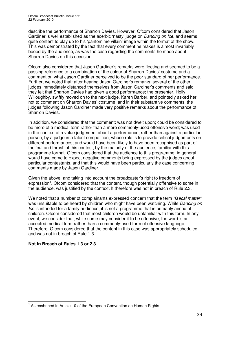describe the performance of Sharron Davies. However, Ofcom considered that Jason Gardiner is well established as the acerbic 'nasty' judge on *Dancing on Ice*, and seems quite content to play up to his 'pantomime villain' image within the format of the show. This was demonstrated by the fact that every comment he makes is almost invariably booed by the audience, as was the case regarding the comments he made about Sharron Davies on this occasion.

Ofcom also considered that Jason Gardiner's remarks were fleeting and seemed to be a passing reference to a combination of the colour of Sharron Davies' costume and a comment on what Jason Gardiner perceived to be the poor standard of her performance. Further, we noted that: after hearing Jason Gardiner's remarks, several of the other judges immediately distanced themselves from Jason Gardiner's comments and said they felt that Sharron Davies had given a good performance; the presenter, Holly Willoughby, swiftly moved on to the next judge, Karen Barber, and pointedly asked her not to comment on Sharron Davies' costume; and in their substantive comments, the judges following Jason Gardiner made very positive remarks about the performance of Sharron Davies.

In addition, we considered that the comment: was not dwelt upon; could be considered to be more of a medical term rather than a more commonly-used offensive word; was used in the context of a value judgement about a performance, rather than against a particular person, by a judge in a talent competition, whose role is to provide critical judgements on different performances; and would have been likely to have been recognised as part of the 'cut and thrust' of this contest, by the majority of the audience, familiar with this programme format. Ofcom considered that the audience to this programme, in general, would have come to expect negative comments being expressed by the judges about particular contestants, and that this would have been particularly the case concerning comments made by Jason Gardiner.

Given the above, and taking into account the broadcaster's right to freedom of expression<sup>1</sup>, Ofcom considered that the content, though potentially offensive to some in the audience, was justified by the context. It therefore was not in breach of Rule 2.3.

We noted that a number of complainants expressed concern that the term *"faecal matter"* was unsuitable to be heard by children who might have been watching. While *Dancing on Ice* is intended for a family audience, it is not a programme that is primarily aimed at children. Ofcom considered that most children would be unfamiliar with this term. In any event, we consider that, while some may consider it to be offensive, the word is an accepted medical term rather than a commonly-used form of offensive language. Therefore, Ofcom considered that the content in this case was appropriately scheduled, and was not in breach of Rule 1.3.

## **Not in Breach of Rules 1.3 or 2.3**

<sup>&</sup>lt;sup>1</sup> As enshrined in Article 10 of the European Convention on Human Rights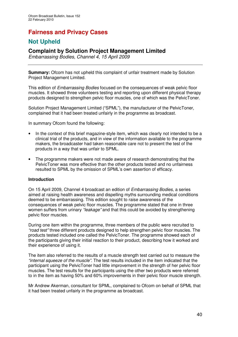# **Fairness and Privacy Cases**

# **Not Upheld**

## **Complaint by Solution Project Management Limited**

*Embarrassing Bodies, Channel 4, 15 April 2009*

**Summary:** Ofcom has not upheld this complaint of unfair treatment made by Solution Project Management Limited.

This edition of *Embarrassing Bodies* focused on the consequences of weak pelvic floor muscles. It showed three volunteers testing and reporting upon different physical therapy products designed to strengthen pelvic floor muscles, one of which was the PelvicToner.

Solution Project Management Limited ("SPML"), the manufacturer of the PelvicToner, complained that it had been treated unfairly in the programme as broadcast.

In summary Ofcom found the following:

- In the context of this brief magazine-style item, which was clearly not intended to be a clinical trial of the products, and in view of the information available to the programme makers, the broadcaster had taken reasonable care not to present the test of the products in a way that was unfair to SPML.
- The programme makers were not made aware of research demonstrating that the PelvicToner was more effective than the other products tested and no unfairness resulted to SPML by the omission of SPML's own assertion of efficacy.

### **Introduction**

On 15 April 2009, Channel 4 broadcast an edition of *Embarrassing Bodies*, a series aimed at raising health awareness and dispelling myths surrounding medical conditions deemed to be embarrassing. This edition sought to raise awareness of the consequences of weak pelvic floor muscles. The programme stated that one in three women suffers from urinary *"leakage"* and that this could be avoided by strengthening pelvic floor muscles.

During one item within the programme, three members of the public were recruited to *"road test"* three different products designed to help strengthen pelvic floor muscles. The products tested included one called the PelvicToner. The programme showed each of the participants giving their initial reaction to their product, describing how it worked and their experience of using it.

The item also referred to the results of a muscle strength test carried out to measure the *"internal squeeze of the muscle"*. The test results included in the item indicated that the participant using the PelvicToner had little improvement in the strength of her pelvic floor muscles. The test results for the participants using the other two products were referred to in the item as having 50% and 60% improvements in their pelvic floor muscle strength.

Mr Andrew Akerman, consultant for SPML, complained to Ofcom on behalf of SPML that it had been treated unfairly in the programme as broadcast.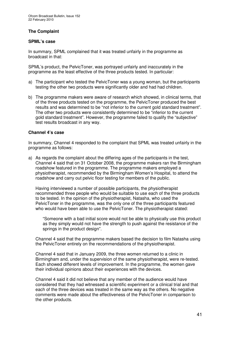## **The Complaint**

### **SPML's case**

In summary, SPML complained that it was treated unfairly in the programme as broadcast in that:

SPML's product, the PelvicToner, was portrayed unfairly and inaccurately in the programme as the least effective of the three products tested. In particular:

- a) The participant who tested the PelvicToner was a young woman, but the participants testing the other two products were significantly older and had had children.
- b) The programme makers were aware of research which showed, in clinical terms, that of the three products tested on the programme, the PelvicToner produced the best results and was determined to be "not inferior to the current gold standard treatment". The other two products were consistently determined to be "inferior to the current gold standard treatment". However, the programme failed to qualify the "subjective" test results broadcast in any way.

### **Channel 4's case**

In summary, Channel 4 responded to the complaint that SPML was treated unfairly in the programme as follows:

a) As regards the complaint about the differing ages of the participants in the test, Channel 4 said that on 31 October 2008, the programme makers ran the Birmingham roadshow featured in the programme. The programme makers employed a physiotherapist, recommended by the Birmingham Women's Hospital, to attend the roadshow and carry out pelvic floor testing for members of the public.

Having interviewed a number of possible participants, the physiotherapist recommended three people who would be suitable to use each of the three products to be tested. In the opinion of the physiotherapist, Natasha, who used the PelvicToner in the programme, was the only one of the three participants featured who would have been able to use the PelvicToner. The physiotherapist stated:

"Someone with a bad initial score would not be able to physically use this product as they simply would not have the strength to push against the resistance of the springs in the product design".

Channel 4 said that the programme makers based the decision to film Natasha using the PelvicToner entirely on the recommendations of the physiotherapist.

Channel 4 said that in January 2009, the three women returned to a clinic in Birmingham and, under the supervision of the same physiotherapist, were re-tested. Each showed different levels of improvement. In the programme, the women gave their individual opinions about their experiences with the devices.

Channel 4 said it did not believe that any member of the audience would have considered that they had witnessed a scientific experiment or a clinical trial and that each of the three devices was treated in the same way as the others. No negative comments were made about the effectiveness of the PelvicToner in comparison to the other products.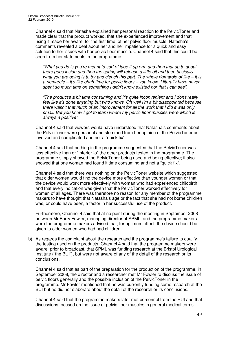Channel 4 said that Natasha explained her personal reaction to the PelvicToner and made clear that the product worked, that she experienced improvement and that using it made her aware, for the first time, of her pelvic floor muscle. Natasha's comments revealed a deal about her and her impatience for a quick and easy solution to her issues with her pelvic floor muscle. Channel 4 said that this could be seen from her statements in the programme:

*"What you do is you're meant to sort of lube it up erm and then that up to about there goes inside and then the spring will release a little bit and then basically what you are doing is to try and clench this part. The whole rigmarole of like – it is a rigmarole – it's like ohhh time for pelvic floors – you know. I literally have never spent so much time on something I didn't know existed nor that I can see".*

*"The product's a bit time consuming and it's quite inconvenient and I don't really feel like it's done anything but who knows. Oh well I'm a bit disappointed because there wasn't that much of an improvement for all the work that I did it was only small. But you know I got to learn where my pelvic floor muscles were which is always a positive".*

Channel 4 said that viewers would have understood that Natasha's comments about the PelvicToner were personal and stemmed from her opinion of the PelvicToner as involved and complicated and not a "quick fix".

Channel 4 said that nothing in the programme suggested that the PelvicToner was less effective than or "inferior to" the other products tested in the programme. The programme simply showed the PelvicToner being used and being effective; it also showed that one woman had found it time consuming and not a "quick fix".

Channel 4 said that there was nothing on the PelvicToner website which suggested that older women would find the device more effective than younger women or that the device would work more effectively with woman who had experienced childbirth and that every indication was given that the PelvicToner worked effectively for women of all ages. There was therefore no reason for any member of the programme makers to have thought that Natasha's age or the fact that she had not borne children was, or could have been, a factor in her successful use of the product.

Furthermore, Channel 4 said that at no point during the meeting in September 2008 between Mr Barry Fowler, managing director of SPML, and the programme makers were the programme makers advised that, for optimum effect, the device should be given to older women who had had children.

b) As regards the complaint about the research and the programme's failure to qualify the testing used on the products, Channel 4 said that the programme makers were aware, prior to broadcast, that SPML was funding research at the Bristol Urological Institute ("the BUI"), but were not aware of any of the detail of the research or its conclusions.

Channel 4 said that as part of the preparation for the production of the programme, in September 2008, the director and a researcher met Mr Fowler to discuss the issue of pelvic floors generally and the possible inclusion of the PelvicToner in the programme. Mr Fowler mentioned that he was currently funding some research at the BUI but he did not elaborate about the detail of the research or its conclusions.

Channel 4 said that the programme makers later met personnel from the BUI and that discussions focused on the issue of pelvic floor muscles in general medical terms.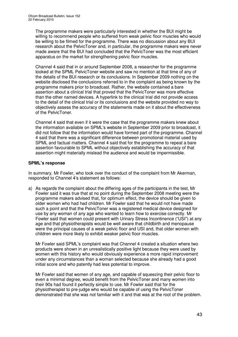The programme makers were particularly interested in whether the BUI might be willing to recommend people who suffered from weak pelvic floor muscles who would be willing to be filmed for the programme. There was no discussion about any BUI research about the PelvicToner and, in particular, the programme makers were never made aware that the BUI had concluded that the PelvicToner was the most efficient apparatus on the market for strengthening pelvic floor muscles.

Channel 4 said that in or around September 2008, a researcher for the programme looked at the SPML PelvicToner website and saw no mention at that time of any of the details of the BUI research or its conclusions. In September 2009 nothing on the website disclosed the conclusions referred to in the complaint as being known by the programme makers prior to broadcast. Rather, the website contained a bare assertion about a clinical trial that proved that the PelvicToner was more effective than the other named devices. A hyperlink to the clinical trial did not provide access to the detail of the clinical trial or its conclusions and the website provided no way to objectively assess the accuracy of the statements made on it about the effectiveness of the PelvicToner.

Channel 4 said that even if it were the case that the programme makers knew about the information available on SPML's website in September 2009 prior to broadcast, it did not follow that the information would have formed part of the programme. Channel 4 said that there was a significant difference between promotional material used by SPML and factual matters. Channel 4 said that for the programme to repeat a bare assertion favourable to SPML without objectively establishing the accuracy of that assertion might materially mislead the audience and would be impermissible.

### **SPML's response**

In summary, Mr Fowler, who took over the conduct of the complaint from Mr Akerman, responded to Channel 4's statement as follows:

a) As regards the complaint about the differing ages of the participants in the test, Mr Fowler said it was true that at no point during the September 2008 meeting were the programme makers advised that, for optimum effect, the device should be given to older women who had had children. Mr Fowler said that he would not have made such a point and that the PelvicToner was a registered medical device designed for use by any woman of any age who wanted to learn how to exercise correctly. Mr Fowler said that women could present with Urinary Stress Incontinence ("USI") at any age and that physiotherapists would be well aware that childbirth and menopause were the principal causes of a weak pelvic floor and USI and, that older women with children were more likely to exhibit weaker pelvic floor muscles.

Mr Fowler said SPML's complaint was that Channel 4 created a situation where two products were shown in an unrealistically positive light because they were used by women with this history who would obviously experience a more rapid improvement under any circumstances than a woman selected because she already had a good initial score and who patently had less potential to improve.

Mr Fowler said that women of any age, and capable of squeezing their pelvic floor to even a minimal degree, would benefit from the PelvicToner and many women into their 90s had found it perfectly simple to use. Mr Fowler said that for the physiotherapist to pre-judge who would be capable of using the PelvicToner demonstrated that she was not familiar with it and that was at the root of the problem.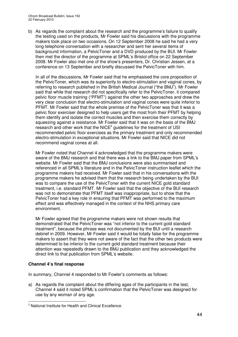b) As regards the complaint about the research and the programme's failure to qualify the testing used on the products, Mr Fowler said his discussions with the programme makers took place on two occasions. On 12 September 2008 he said he had a very long telephone conversation with a researcher and sent her several items of background information, a PelvicToner and a DVD produced by the BUI. Mr Fowler then met the director of the programme at SPML's Bristol office on 22 September 2008. Mr Fowler also met one of the show's presenters, Dr. Christian Jessen, at a conference on 13 September and briefly discussed the PelvicToner with him.

In all of the discussions, Mr Fowler said that he emphasised the core proposition of the PelvicToner, which was its superiority to electro-stimulation and vaginal cones, by referring to research published in the British Medical Journal ("the BMJ"). Mr Fowler said that while that research did not specifically refer to the PelvicToner, it compared pelvic floor muscle training ("PFMT") against the other two approaches and drew the very clear conclusion that electro-stimulation and vaginal cones were quite inferior to PFMT. Mr Fowler said that the whole premise of the PelvicToner was that it was a pelvic floor exerciser designed to help users get the most from their PFMT by helping them identify and isolate the correct muscles and then exercise them correctly by squeezing against a resistance. Mr Fowler said that it was on the basis of the BMJ research and other work that the NICE $2$  guidelines for the treatment of USI recommended pelvic floor exercises as the primary treatment and only recommended electro-stimulation in exceptional situations. Mr Fowler said that NICE did not recommend vaginal cones at all.

Mr Fowler noted that Channel 4 acknowledged that the programme makers were aware of the BMJ research and that there was a link to the BMJ paper from SPML's website. Mr Fowler said that the BMJ conclusions were also summarised and referenced in all SPML's literature and in the PelvicToner instruction leaflet which the programme makers had received. Mr Fowler said that in his conversations with the programme makers he advised them that the research being undertaken by the BUI was to compare the use of the PelvicToner with the current NICE gold standard treatment, i.e. standard PFMT. Mr Fowler said that the objective of the BUI research was not to demonstrate that PFMT itself was inappropriate, but to show that the PelvicToner had a key role in ensuring that PFMT was performed to the maximum effect and was effectively managed in the context of the NHS primary care environment.

Mr Fowler agreed that the programme makers were not shown results that demonstrated that the PelvicToner was "not inferior to the current gold standard treatment", because the phrase was not documented by the BUI until a research debrief in 2009. However, Mr Fowler said it would be totally false for the programme makers to assert that they were not aware of the fact that the other two products were determined to be inferior to the current gold standard treatment because their attention was repeatedly drawn to the BMJ publication and they acknowledged the direct link to that publication from SPML's website.

## **Channel 4's final response**

In summary, Channel 4 responded to Mr Fowler's comments as follows:

a) As regards the complaint about the differing ages of the participants in the test, Channel 4 said it noted SPML's confirmation that the PelvicToner was designed for use by any woman of any age.

<sup>&</sup>lt;sup>2</sup> National Institute for Health and Clinical Excellence.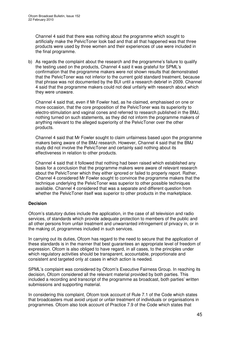Channel 4 said that there was nothing about the programme which sought to artificially make the PelvicToner look bad and that all that happened was that three products were used by three women and their experiences of use were included in the final programme.

b) As regards the complaint about the research and the programme's failure to qualify the testing used on the products, Channel 4 said it was grateful for SPML's confirmation that the programme makers were not shown results that demonstrated that the PelvicToner was not inferior to the current gold standard treatment, because that phrase was not documented by the BUI until a research debrief in 2009. Channel 4 said that the programme makers could not deal unfairly with research about which they were unaware.

Channel 4 said that, even if Mr Fowler had, as he claimed, emphasised on one or more occasion, that the core proposition of the PelvicToner was its superiority to electro-stimulation and vaginal cones and referred to research published in the BMJ, nothing turned on such statements, as they did not inform the programme makers of anything relevant to the alleged superiority of the PelvicToner over the other products.

Channel 4 said that Mr Fowler sought to claim unfairness based upon the programme makers being aware of the BMJ research. However, Channel 4 said that the BMJ study did not involve the PelvicToner and certainly said nothing about its effectiveness in relation to other products.

Channel 4 said that it followed that nothing had been raised which established any basis for a conclusion that the programme makers were aware of relevant research about the PelvicToner which they either ignored or failed to properly report. Rather, Channel 4 considered Mr Fowler sought to convince the programme makers that the technique underlying the PelvicToner was superior to other possible techniques available. Channel 4 considered that was a separate and different question from whether the PelvicToner itself was superior to other products in the marketplace.

### **Decision**

Ofcom's statutory duties include the application, in the case of all television and radio services, of standards which provide adequate protection to members of the public and all other persons from unfair treatment and unwarranted infringement of privacy in, or in the making of, programmes included in such services.

In carrying out its duties, Ofcom has regard to the need to secure that the application of these standards is in the manner that best guarantees an appropriate level of freedom of expression. Ofcom is also obliged to have regard, in all cases, to the principles under which regulatory activities should be transparent, accountable, proportionate and consistent and targeted only at cases in which action is needed.

SPML's complaint was considered by Ofcom's Executive Fairness Group. In reaching its decision, Ofcom considered all the relevant material provided by both parties. This included a recording and transcript of the programme as broadcast, both parties' written submissions and supporting material.

In considering this complaint, Ofcom took account of Rule 7.1 of the Code which states that broadcasters must avoid unjust or unfair treatment of individuals or organisations in programmes. Ofcom also took account of Practice 7.9 of the Code which states that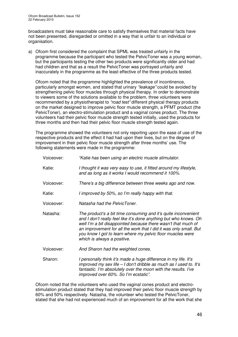broadcasters must take reasonable care to satisfy themselves that material facts have not been presented, disregarded or omitted in a way that is unfair to an individual or organisation.

a) Ofcom first considered the complaint that SPML was treated unfairly in the programme because the participant who tested the PelvicToner was a young woman, but the participants testing the other two products were significantly older and had had children and that as a result the PelvicToner was portrayed unfairly and inaccurately in the programme as the least effective of the three products tested.

Ofcom noted that the programme highlighted the prevalence of incontinence, particularly amongst women, and stated that urinary *"leakage"* could be avoided by strengthening pelvic floor muscles through physical therapy. In order to demonstrate to viewers some of the solutions available to the problem, three volunteers were recommended by a physiotherapist to *"road test"* different physical therapy products on the market designed to improve pelvic floor muscle strength, a PFMT product (the PelvicToner), an electro-stimulation product and a vaginal cones product. The three volunteers had their pelvic floor muscle strength tested initially, used the products for three months and then had their pelvic floor muscle strength tested again.

The programme showed the volunteers not only reporting upon the ease of use of the respective products and the effect it had had upon their lives, but on the degree of improvement in their pelvic floor muscle strength after three months' use. The following statements were made in the programme:

| Voiceover: | "Katie has been using an electric muscle stimulator.                                                                                                                                                                                                                                                                                                                   |  |  |  |
|------------|------------------------------------------------------------------------------------------------------------------------------------------------------------------------------------------------------------------------------------------------------------------------------------------------------------------------------------------------------------------------|--|--|--|
| Katie:     | I thought it was very easy to use, it fitted around my lifestyle,<br>and as long as it works I would recommend it 100%.                                                                                                                                                                                                                                                |  |  |  |
| Voiceover: | There's a big difference between three weeks ago and now.                                                                                                                                                                                                                                                                                                              |  |  |  |
| Katie:     | I improved by 50%, so I'm really happy with that.                                                                                                                                                                                                                                                                                                                      |  |  |  |
| Voiceover: | Natasha had the PelvicToner.                                                                                                                                                                                                                                                                                                                                           |  |  |  |
| Natasha:   | The product's a bit time consuming and it's quite inconvenient<br>and I don't really feel like it's done anything but who knows. Oh<br>well I'm a bit disappointed because there wasn't that much of<br>an improvement for all the work that I did it was only small. But<br>you know I got to learn where my pelvic floor muscles were<br>which is always a positive. |  |  |  |
| Voiceover: | And Sharon had the weighted cones.                                                                                                                                                                                                                                                                                                                                     |  |  |  |
| Sharon:    | I personally think it's made a huge difference in my life. It's<br>improved my sex life - I don't dribble as much as I used to. It's<br>fantastic. I'm absolutely over the moon with the results. I've<br>improved over 60%. So I'm ecstatic".                                                                                                                         |  |  |  |

Ofcom noted that the volunteers who used the vaginal cones product and electrostimulation product stated that they had improved their pelvic floor muscle strength by 60% and 50% respectively. Natasha, the volunteer who tested the PelvicToner, stated that she had not experienced much of an improvement for all the work that she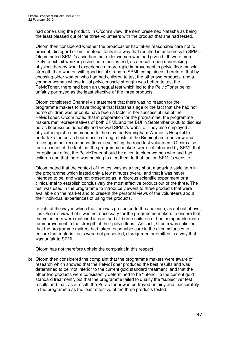had done using the product. In Ofcom's view, the item presented Natasha as being the least pleased out of the three volunteers with the product that she had tested.

Ofcom then considered whether the broadcaster had taken reasonable care not to present, disregard or omit material facts in a way that resulted in unfairness to SPML. Ofcom noted SPML's assertion that older women who had given birth were more likely to exhibit weaker pelvic floor muscles and, as a result, upon undertaking physical therapy would experience a more rapid improvement in pelvic floor muscle strength than women with good initial strength. SPML complained, therefore, that by choosing older women who had had children to test the other two products, and a younger woman whose initial pelvic muscle strength was better, to test the PelvicToner, there had been an unequal test which led to the PelvicToner being unfairly portrayed as the least effective of the three products.

Ofcom considered Channel 4's statement that there was no reason for the programme makers to have thought that Natasha's age or the fact that she had not borne children was or could have been a factor in her successful use of the PelvicToner. Ofcom noted that in preparation for the programme, the programme makers met representatives of both SPML and the BUI in September 2008 to discuss pelvic floor issues generally and viewed SPML's website. They also employed a physiotherapist recommended to them by the Birmingham Women's Hospital to undertake the pelvic floor muscle strength tests at the Birmingham roadshow and relied upon her recommendations in selecting the road test volunteers. Ofcom also took account of the fact that the programme makers were not informed by SPML that for optimum effect the PelvicToner should be given to older women who had had children and that there was nothing to alert them to that fact on SPML's website.

Ofcom noted that the context of the test was as a very short magazine-style item in the programme which lasted only a few minutes overall and that it was never intended to be, and was not presented as, a rigorous scientific experiment or a clinical trial to establish conclusively the most effective product out of the three. The test was used in the programme to introduce viewers to three products that were available on the market and to present the personal views of the volunteers about their individual experiences of using the products.

In light of the way in which the item was presented to the audience, as set out above, it is Ofcom's view that it was not necessary for the programme makers to ensure that the volunteers were matched in age, had all borne children or had comparable room for improvement in the strength of their pelvic floors. As such, Ofcom was satisfied that the programme makers had taken reasonable care in the circumstances to ensure that material facts were not presented, disregarded or omitted in a way that was unfair to SPML.

Ofcom has not therefore upheld the complaint in this respect.

b) Ofcom then considered the complaint that the programme makers were aware of research which showed that the PelvicToner produced the best results and was determined to be "not inferior to the current gold standard treatment" and that the other two products were consistently determined to be "inferior to the current gold standard treatment", but that the programme failed to qualify the "subjective" test results and that, as a result, the PelvicToner was portrayed unfairly and inaccurately in the programme as the least effective of the three products tested.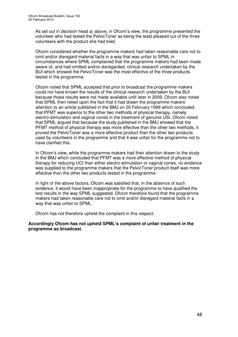As set out in decision head a) above, in Ofcom's view, the programme presented the volunteer who had tested the PelvicToner as being the least pleased out of the three volunteers with the product she had tried.

Ofcom considered whether the programme makers had taken reasonable care not to omit and/or disregard material facts in a way that was unfair to SPML in circumstances where SPML complained that the programme makers had been made aware of, and had omitted and/or disregarded, clinical research undertaken by the BUI which showed the PelvicToner was the most effective of the three products tested in the programme.

Ofcom noted that SPML accepted that prior to broadcast the programme makers could not have known the results of the clinical research undertaken by the BUI because those results were not made available until later in 2009. Ofcom also noted that SPML then relied upon the fact that it had drawn the programme makers' attention to an article published in the BMJ on 20 February 1999 which concluded that PFMT was superior to the other two methods of physical therapy, namely electro-stimulation and vaginal cones in the treatment of genuine USI. Ofcom noted that SPML argued that because the study published in the BMJ showed that the PFMT method of physical therapy was more effective than the other two methods, it proved the PelvicToner was a more effective product than the other two products used by volunteers in the programme and that it was unfair for the programme not to have clarified this.

In Ofcom's view, while the programme makers had their attention drawn to the study in the BMJ which concluded that PFMT was a more effective method of physical therapy for reducing UCI than either electro-stimulation or vaginal cones, no evidence was supplied to the programme makers that the PelvicToner product itself was more effective than the other two products tested in the programme.

In light of the above factors, Ofcom was satisfied that, in the absence of such evidence, it would have been inappropriate for the programme to have qualified the test results in the way SPML suggested. Ofcom therefore found that the programme makers had taken reasonable care not to omit and/or disregard material facts in a way that was unfair to SPML.

Ofcom has not therefore upheld the complaint in this respect.

### **Accordingly Ofcom has not upheld SPML's complaint of unfair treatment in the programme as broadcast.**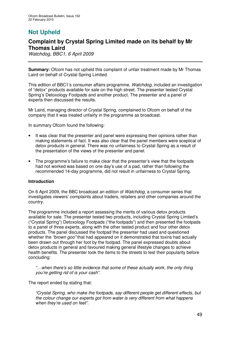# **Not Upheld**

# **Complaint by Crystal Spring Limited made on its behalf by Mr Thomas Laird**

*Watchdog, BBC1, 6 April 2009*

**Summary:** Ofcom has not upheld this complaint of unfair treatment made by Mr Thomas Laird on behalf of Crystal Spring Limited.

This edition of BBC1's consumer affairs programme, *Watchdog*, included an investigation of "detox" products available for sale on the high street. The presenter tested Crystal Spring's Detoxology Footpads and another product. The presenter and a panel of experts then discussed the results.

Mr Laird, managing director of Crystal Spring, complained to Ofcom on behalf of the company that it was treated unfairly in the programme as broadcast.

In summary Ofcom found the following:

- It was clear that the presenter and panel were expressing their opinions rather than making statements of fact. It was also clear that the panel members were sceptical of detox products in general. There was no unfairness to Crystal Spring as a result of the presentation of the views of the presenter and panel.
- The programme's failure to make clear that the presenter's view that the footpads had not worked was based on one day's use of a pad, rather than following the recommended 14-day programme, did not result in unfairness to Crystal Spring.

### **Introduction**

On 6 April 2009, the BBC broadcast an edition of *Watchdog*, a consumer series that investigates viewers' complaints about traders, retailers and other companies around the country.

The programme included a report assessing the merits of various detox products available for sale. The presenter tested two products, including Crystal Spring Limited's ("Crystal Spring") Detoxology Footpads ("the footpads") and then presented the footpads to a panel of three experts, along with the other tested product and four other detox products. The panel discussed the footpad the presenter had used and questioned whether the *"brown goo"* that had appeared on it demonstrated that toxins had actually been drawn out through her foot by the footpad. The panel expressed doubts about detox products in general and favoured making general lifestyle changes to achieve health benefits. The presenter took the items to the streets to test their popularity before concluding:

*"…when there's so little evidence that some of these actually work, the only thing you're getting rid of is your cash"*.

The report ended by stating that:

*"Crystal Spring, who make the footpads, say different people get different effects, but the colour change our experts got from water is very different from what happens when they're used on feet".*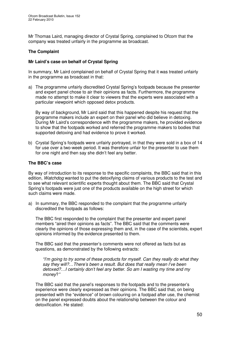Mr Thomas Laird, managing director of Crystal Spring, complained to Ofcom that the company was treated unfairly in the programme as broadcast.

### **The Complaint**

#### **Mr Laird's case on behalf of Crystal Spring**

In summary, Mr Laird complained on behalf of Crystal Spring that it was treated unfairly in the programme as broadcast in that:

a) The programme unfairly discredited Crystal Spring's footpads because the presenter and expert panel chose to air their opinions as facts. Furthermore, the programme made no attempt to make it clear to viewers that the experts were associated with a particular viewpoint which opposed detox products.

By way of background, Mr Laird said that this happened despite his request that the programme makers include an expert on their panel who did believe in detoxing. During Mr Laird's correspondence with the programme makers, he provided evidence to show that the footpads worked and referred the programme makers to bodies that supported detoxing and had evidence to prove it worked.

b) Crystal Spring's footpads were unfairly portrayed, in that they were sold in a box of 14 for use over a two-week period. It was therefore unfair for the presenter to use them for one night and then say she didn't feel any better.

### **The BBC's case**

By way of introduction to its response to the specific complaints, the BBC said that in this edition, *Watchdog* wanted to put the detoxifying claims of various products to the test and to see what relevant scientific experts thought about them. The BBC said that Crystal Spring's footpads were just one of the products available on the high street for which such claims were made.

a) In summary, the BBC responded to the complaint that the programme unfairly discredited the footpads as follows:

The BBC first responded to the complaint that the presenter and expert panel members "aired their opinions as facts". The BBC said that the comments were clearly the opinions of those expressing them and, in the case of the scientists, expert opinions informed by the evidence presented to them.

The BBC said that the presenter's comments were not offered as facts but as questions, as demonstrated by the following extracts:

*"I'm going to try some of these products for myself. Can they really do what they say they will?…There's been a result. But does that really mean I've been detoxed?…I certainly don't feel any better. So am I wasting my time and my money*?*"*

The BBC said that the panel's responses to the footpads and to the presenter's experience were clearly expressed as their opinions. The BBC said that, on being presented with the "evidence" of brown colouring on a footpad after use, the chemist on the panel expressed doubts about the relationship between the colour and detoxification. He stated: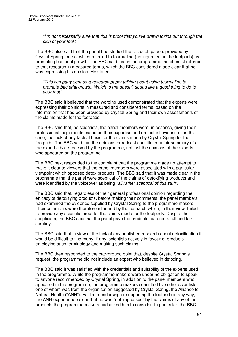*"I'm not necessarily sure that this is proof that you've drawn toxins out through the skin of your feet"*.

The BBC also said that the panel had studied the research papers provided by Crystal Spring, one of which referred to tourmaline (an ingredient in the footpads) as promoting bacterial growth. The BBC said that in the programme the chemist referred to that research in measured terms, which the BBC considered made clear that he was expressing his opinion. He stated:

*"This company sent us a research paper talking about using tourmaline to promote bacterial growth. Which to me doesn't sound like a good thing to do to your foot"*.

The BBC said it believed that the wording used demonstrated that the experts were expressing their opinions in measured and considered terms, based on the information that had been provided by Crystal Spring and their own assessments of the claims made for the footpads.

The BBC said that, as scientists, the panel members were, in essence, giving their professional judgements based on their expertise and on factual evidence – in this case, the lack of any factual basis for the claims made by Crystal Spring for the footpads. The BBC said that the opinions broadcast constituted a fair summary of all the expert advice received by the programme, not just the opinions of the experts who appeared on the programme.

The BBC next responded to the complaint that the programme made no attempt to make it clear to viewers that the panel members were associated with a particular viewpoint which opposed detox products. The BBC said that it was made clear in the programme that the panel were sceptical of the claims of detoxifying products and were identified by the voiceover as being *"all rather sceptical of this stuff"*.

The BBC said that, regardless of their general professional opinion regarding the efficacy of detoxifying products, before making their comments, the panel members had examined the evidence supplied by Crystal Spring to the programme makers. Their comments were therefore informed by the research which, in their view, failed to provide any scientific proof for the claims made for the footpads. Despite their scepticism, the BBC said that the panel gave the products featured a full and fair scrutiny.

The BBC said that in view of the lack of any published research about detoxification it would be difficult to find many, if any, scientists actively in favour of products employing such terminology and making such claims.

The BBC then responded to the background point that, despite Crystal Spring's request, the programme did not include an expert who believed in detoxing.

The BBC said it was satisfied with the credentials and suitability of the experts used in the programme. While the programme makers were under no obligation to speak to anyone recommended by Crystal Spring, in addition to the panel members who appeared in the programme, the programme makers consulted five other scientists, one of whom was from the organisation suggested by Crystal Spring, the Alliance for Natural Health ("ANH"). Far from endorsing or supporting the footpads in any way, the ANH expert made clear that he was "not impressed" by the claims of any of the products the programme makers had asked him to consider. In particular, the BBC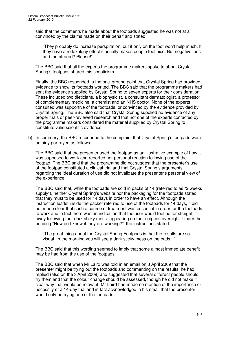said that the comments he made about the footpads suggested he was not at all convinced by the claims made on their behalf and stated:

"They probably do increase perspiration, but if only on the foot won't help much. If they have a reflexology effect it usually makes people feel nice. But negative ions and far infrared? Please!"

The BBC said that all the experts the programme makers spoke to about Crystal Spring's footpads shared this scepticism.

Finally, the BBC responded to the background point that Crystal Spring had provided evidence to show its footpads worked. The BBC said that the programme makers had sent the evidence supplied by Crystal Spring to seven experts for their consideration. These included two dieticians, a biophysicist, a consultant dermatologist, a professor of complementary medicine, a chemist and an NHS doctor. None of the experts consulted was supportive of the footpads, or convinced by the evidence provided by Crystal Spring. The BBC also said that Crystal Spring supplied no evidence of any proper trials or peer-reviewed research and that not one of the experts contacted by the programme makers considered the material supplied by Crystal Spring to constitute valid scientific evidence.

b) In summary, the BBC responded to the complaint that Crystal Spring's footpads were unfairly portrayed as follows:

The BBC said that the presenter used the footpad as an illustrative example of how it was supposed to work and reported her personal reaction following use of the footpad. The BBC said that the programme did not suggest that the presenter's use of the footpad constituted a clinical trial and that Crystal Spring's arguments regarding the ideal duration of use did not invalidate the presenter's personal view of the experience.

The BBC said that, while the footpads are sold in packs of 14 (referred to as "2 weeks supply"), neither Crystal Spring's website nor the packaging for the footpads stated that they must to be used for 14 days in order to have an effect. Although the instruction leaflet inside the packet referred to use of the footpads for 14 days, it did not made clear that such a course of treatment was essential in order for the footpads to work and in fact there was an indication that the user would feel better straight away following the "dark sticky mess" appearing on the footpads overnight. Under the heading "How do I know if they are working?", the instructions stated:

"The great thing about the Crystal Spring Footpads is that the results are so visual. In the morning you will see a dark sticky mess on the pads..."

The BBC said that this wording seemed to imply that some almost immediate benefit may be had from the use of the footpads.

The BBC said that when Mr Laird was told in an email on 3 April 2009 that the presenter might be trying out the footpads and commenting on the results, he had replied (also on the 3 April 2009) and suggested that several different people should try them and that the colour change should be assessed, though he did not make it clear why that would be relevant. Mr Laird had made no mention of the importance or necessity of a 14-day trial and in fact acknowledged in his email that the presenter would only be trying one of the footpads.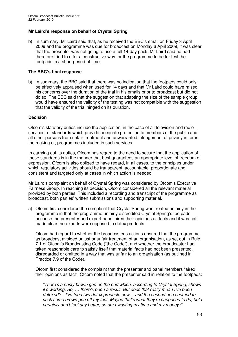## **Mr Laird's response on behalf of Crystal Spring**

b) In summary, Mr Laird said that, as he received the BBC's email on Friday 3 April 2009 and the programme was due for broadcast on Monday 6 April 2009, it was clear that the presenter was not going to use a full 14-day pack. Mr Laird said he had therefore tried to offer a constructive way for the programme to better test the footpads in a short period of time.

### **The BBC's final response**

b) In summary, the BBC said that there was no indication that the footpads could only be effectively appraised when used for 14 days and that Mr Laird could have raised his concerns over the duration of the trial in his emails prior to broadcast but did not do so. The BBC said that the suggestion that adapting the size of the sample group would have ensured the validity of the testing was not compatible with the suggestion that the validity of the trial hinged on its duration.

### **Decision**

Ofcom's statutory duties include the application, in the case of all television and radio services, of standards which provide adequate protection to members of the public and all other persons from unfair treatment and unwarranted infringement of privacy in, or in the making of, programmes included in such services.

In carrying out its duties, Ofcom has regard to the need to secure that the application of these standards is in the manner that best guarantees an appropriate level of freedom of expression. Ofcom is also obliged to have regard, in all cases, to the principles under which regulatory activities should be transparent, accountable, proportionate and consistent and targeted only at cases in which action is needed.

Mr Laird's complaint on behalf of Crystal Spring was considered by Ofcom's Executive Fairness Group. In reaching its decision, Ofcom considered all the relevant material provided by both parties. This included a recording and transcript of the programme as broadcast, both parties' written submissions and supporting material.

a) Ofcom first considered the complaint that Crystal Spring was treated unfairly in the programme in that the programme unfairly discredited Crystal Spring's footpads because the presenter and expert panel aired their opinions as facts and it was not made clear the experts were opposed to detox products.

Ofcom had regard to whether the broadcaster's actions ensured that the programme as broadcast avoided unjust or unfair treatment of an organisation, as set out in Rule 7.1 of Ofcom's Broadcasting Code ("the Code"), and whether the broadcaster had taken reasonable care to satisfy itself that material facts had not been presented, disregarded or omitted in a way that was unfair to an organisation (as outlined in Practice 7.9 of the Code).

Ofcom first considered the complaint that the presenter and panel members "aired their opinions as fact". Ofcom noted that the presenter said in relation to the footpads:

*"There's a nasty brown goo on the pad which, according to Crystal Spring, shows it's working. So, … there's been a result. But does that really mean I've been detoxed?…I've tried two detox products now… and the second one seemed to suck some brown goo off my foot. Maybe that's what they're supposed to do, but I certainly don't feel any better, so am I wasting my time and my money?"*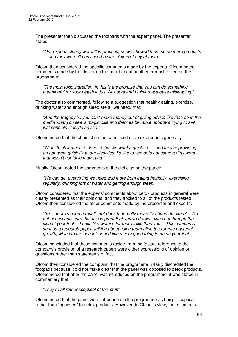The presenter then discussed the footpads with the expert panel. The presenter stated:

*"Our experts clearly weren't impressed, so we showed them some more products … and they weren't convinced by the claims of any of them."*

Ofcom then considered the specific comments made by the experts. Ofcom noted comments made by the doctor on the panel about another product tested on the programme:

*"The most toxic ingredient in this is the promise that you can do something meaningful for your health in just 24 hours and I think that's quite misleading."*

The doctor also commented, following a suggestion that healthy eating, exercise, drinking water and enough sleep are all we need, that:

*"And the tragedy is, you can't make money out of giving advice like that, so in the media what you see is magic pills and detoxes because nobody's trying to sell just sensible lifestyle advice."*

Ofcom noted that the chemist on the panel said of detox products generally:

*"Well I think it meets a need in that we want a quick fix … and they're providing an apparent quick fix to our lifestyles. I'd like to see detox become a dirty word that wasn't useful in marketing."*

Finally, Ofcom noted the comments of the dietician on the panel:

*"We can get everything we need and more from eating healthily, exercising regularly, drinking lots of water and getting enough sleep."*

Ofcom considered that the experts' comments about detox products in general were clearly presented as their opinions, and they applied to all of the products tested. Ofcom then considered the other comments made by the presenter and experts:

*"So ... there's been a result. But does that really mean I've been detoxed?… I'm not necessarily sure that this is proof that you've drawn toxins out through the skin of your feet… Looks like water's far more toxic than you… This company's sent us a research paper, talking about using tourmaline to promote bacterial growth, which to me doesn't sound like a very good thing to do on your foot."*

Ofcom concluded that these comments (aside from the factual reference to the company's provision of a research paper) were either expressions of opinion or questions rather than statements of fact.

Ofcom then considered the complaint that the programme unfairly discredited the footpads because it did not make clear that the panel was opposed to detox products. Ofcom noted that after the panel was introduced on the programme, it was stated in commentary that:

*"They're all rather sceptical of this stuff".*

Ofcom noted that the panel were introduced in the programme as being "sceptical" rather than "opposed" to detox products. However, in Ofcom's view, the comments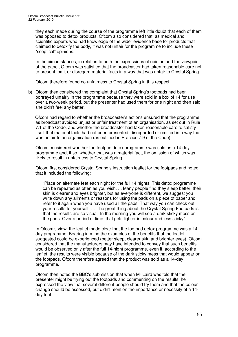they each made during the course of the programme left little doubt that each of them was opposed to detox products. Ofcom also considered that, as medical and scientific experts who had knowledge of the wider evidence base for products that claimed to detoxify the body, it was not unfair for the programme to include these "sceptical" opinions.

In the circumstances, in relation to both the expressions of opinion and the viewpoint of the panel, Ofcom was satisfied that the broadcaster had taken reasonable care not to present, omit or disregard material facts in a way that was unfair to Crystal Spring.

Ofcom therefore found no unfairness to Crystal Spring in this respect.

b) Ofcom then considered the complaint that Crystal Spring's footpads had been portrayed unfairly in the programme because they were sold in a box of 14 for use over a two-week period, but the presenter had used them for one night and then said she didn't feel any better.

Ofcom had regard to whether the broadcaster's actions ensured that the programme as broadcast avoided unjust or unfair treatment of an organisation, as set out in Rule 7.1 of the Code, and whether the broadcaster had taken reasonable care to satisfy itself that material facts had not been presented, disregarded or omitted in a way that was unfair to an organisation (as outlined in Practice 7.9 of the Code).

Ofcom considered whether the footpad detox programme was sold as a 14-day programme and, if so, whether that was a material fact, the omission of which was likely to result in unfairness to Crystal Spring.

Ofcom first considered Crystal Spring's instruction leaflet for the footpads and noted that it included the following:

"Place on alternate feet each night for the full 14 nights. This detox programme can be repeated as often as you wish. ... Many people find they sleep better, their skin is clearer and eyes brighter, but as everyone is different, we suggest you write down any ailments or reasons for using the pads on a piece of paper and refer to it again when you have used all the pads. That way you can check out your results for yourself. … The great thing about the Crystal Spring Footpads is that the results are so visual. In the morning you will see a dark sticky mess on the pads. Over a period of time, that gets lighter in colour and less sticky".

In Ofcom's view, the leaflet made clear that the footpad detox programme was a 14 day programme. Bearing in mind the examples of the benefits that the leaflet suggested could be experienced (better sleep, clearer skin and brighter eyes), Ofcom considered that the manufacturers may have intended to convey that such benefits would be observed only after the full 14-night programme, even if, according to the leaflet, the results were visible because of the dark sticky mess that would appear on the footpads. Ofcom therefore agreed that the product was sold as a 14-day programme.

Ofcom then noted the BBC's submission that when Mr Laird was told that the presenter might be trying out the footpads and commenting on the results, he expressed the view that several different people should try them and that the colour change should be assessed, but didn't mention the importance or necessity of a 14 day trial.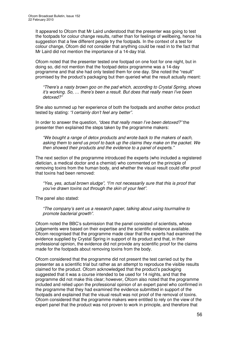It appeared to Ofcom that Mr Laird understood that the presenter was going to test the footpads for colour change results, rather than for feelings of wellbeing, hence his suggestion that a few different people try the footpads. In the context of a test for colour change, Ofcom did not consider that anything could be read in to the fact that Mr Laird did not mention the importance of a 14-day trial.

Ofcom noted that the presenter tested one footpad on one foot for one night, but in doing so, did not mention that the footpad detox programme was a 14-day programme and that she had only tested them for one day. She noted the "result" promised by the product's packaging but then queried what the result actually meant:

*"There's a nasty brown goo on the pad which, according to Crystal Spring, shows it's working. So, … there's been a result. But does that really mean I've been detoxed?"*

She also summed up her experience of both the footpads and another detox product tested by stating: *"I certainly don't feel any better".*

In order to answer the question, *"does that really mean I've been detoxed?"* the presenter then explained the steps taken by the programme makers:

*"We bought a range of detox products and wrote back to the makers of each, asking them to send us proof to back up the claims they make on the packet. We then showed their products and the evidence to a panel of experts."*

The next section of the programme introduced the experts (who included a registered dietician, a medical doctor and a chemist) who commented on the principle of removing toxins from the human body, and whether the visual result could offer proof that toxins had been removed:

*"Yes, yes, actual brown sludge", "I'm not necessarily sure that this is proof that you've drawn toxins out through the skin of your feet".*

The panel also stated:

*"The company's sent us a research paper, talking about using tourmaline to promote bacterial growth"*.

Ofcom noted the BBC's submission that the panel consisted of scientists, whose judgements were based on their expertise and the scientific evidence available. Ofcom recognised that the programme made clear that the experts had examined the evidence supplied by Crystal Spring in support of its product and that, in their professional opinion, the evidence did not provide any scientific proof for the claims made for the footpads about removing toxins from the body.

Ofcom considered that the programme did not present the test carried out by the presenter as a scientific trial but rather as an attempt to reproduce the visible results claimed for the product. Ofcom acknowledged that the product's packaging suggested that it was a course intended to be used for 14 nights, and that the programme did not make this clear; however, Ofcom also noted that the programme included and relied upon the professional opinion of an expert panel who confirmed in the programme that they had examined the evidence submitted in support of the footpads and explained that the visual result was not proof of the removal of toxins. Ofcom considered that the programme makers were entitled to rely on the view of the expert panel that the product was not proven to work in principle, and therefore that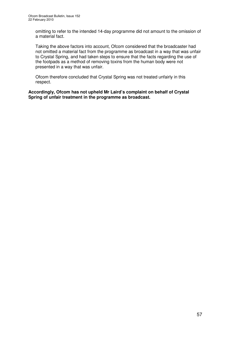omitting to refer to the intended 14-day programme did not amount to the omission of a material fact.

Taking the above factors into account, Ofcom considered that the broadcaster had not omitted a material fact from the programme as broadcast in a way that was unfair to Crystal Spring, and had taken steps to ensure that the facts regarding the use of the footpads as a method of removing toxins from the human body were not presented in a way that was unfair.

Ofcom therefore concluded that Crystal Spring was not treated unfairly in this respect.

**Accordingly, Ofcom has not upheld Mr Laird's complaint on behalf of Crystal Spring of unfair treatment in the programme as broadcast.**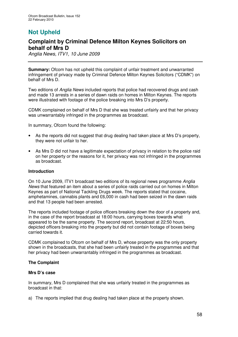# **Not Upheld**

# **Complaint by Criminal Defence Milton Keynes Solicitors on behalf of Mrs D**

*Anglia News, ITV1, 10 June 2009*

**Summary:** Ofcom has not upheld this complaint of unfair treatment and unwarranted infringement of privacy made by Criminal Defence Milton Keynes Solicitors ("CDMK") on behalf of Mrs D.

Two editions of *Anglia News* included reports that police had recovered drugs and cash and made 13 arrests in a series of dawn raids on homes in Milton Keynes. The reports were illustrated with footage of the police breaking into Mrs D's property.

CDMK complained on behalf of Mrs D that she was treated unfairly and that her privacy was unwarrantably infringed in the programmes as broadcast.

In summary, Ofcom found the following:

- As the reports did not suggest that drug dealing had taken place at Mrs D's property. they were not unfair to her.
- As Mrs D did not have a legitimate expectation of privacy in relation to the police raid on her property or the reasons for it, her privacy was not infringed in the programmes as broadcast.

### **Introduction**

On 10 June 2009, ITV1 broadcast two editions of its regional news programme *Anglia News* that featured an item about a series of police raids carried out on homes in Milton Keynes as part of National Tackling Drugs week. The reports stated that cocaine, amphetamines, cannabis plants and £6,000 in cash had been seized in the dawn raids and that 13 people had been arrested.

The reports included footage of police officers breaking down the door of a property and, in the case of the report broadcast at 18:00 hours, carrying boxes towards what appeared to be the same property. The second report, broadcast at 22:50 hours, depicted officers breaking into the property but did not contain footage of boxes being carried towards it.

CDMK complained to Ofcom on behalf of Mrs D, whose property was the only property shown in the broadcasts, that she had been unfairly treated in the programmes and that her privacy had been unwarrantably infringed in the programmes as broadcast.

### **The Complaint**

#### **Mrs D's case**

In summary, Mrs D complained that she was unfairly treated in the programmes as broadcast in that:

a) The reports implied that drug dealing had taken place at the property shown.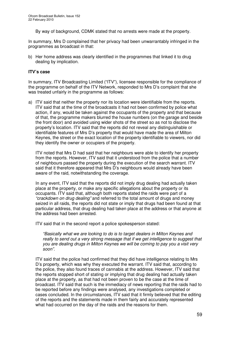By way of background, CDMK stated that no arrests were made at the property.

In summary, Mrs D complained that her privacy had been unwarrantably infringed in the programmes as broadcast in that:

b) Her home address was clearly identified in the programmes that linked it to drug dealing by implication.

### **ITV's case**

In summary, ITV Broadcasting Limited ("ITV"), licensee responsible for the compliance of the programme on behalf of the ITV Network, responded to Mrs D's complaint that she was treated unfairly in the programme as follows:

a) ITV said that neither the property nor its location were identifiable from the reports. ITV said that at the time of the broadcasts it had not been confirmed by police what action, if any, would be taken against the occupants of the property and that because of that, the programme makers blurred the house numbers (on the garage and beside the front door) and avoided using wider shots of the street so as not to disclose the property's location. ITV said that the reports did not reveal any distinguishable or identifiable features of Mrs D's property that would have made the area of Milton Keynes, the street or the exact location of the property identifiable to viewers, nor did they identify the owner or occupiers of the property.

ITV noted that Mrs D had said that her neighbours were able to identify her property from the reports. However, ITV said that it understood from the police that a number of neighbours passed the property during the execution of the search warrant. ITV said that it therefore appeared that Mrs D's neighbours would already have been aware of the raid, notwithstanding the coverage.

In any event, ITV said that the reports did not imply drug dealing had actually taken place at the property, or make any specific allegations about the property or its occupants. ITV said that, although both reports stated the raids were part of a *"crackdown on drug dealing"* and referred to the total amount of drugs and money seized in all raids, the reports did not state or imply that drugs had been found at that particular address, that drug dealing had taken place at the address or that anyone at the address had been arrested.

ITV said that in the second report a police spokesperson stated:

*"Basically what we are looking to do is to target dealers in Milton Keynes and really to send out a very strong message that if we get intelligence to suggest that you are dealing drugs in Milton Keynes we will be coming to pay you a visit very soon".*

ITV said that the police had confirmed that they did have intelligence relating to Mrs D's property, which was why they executed the warrant. ITV said that, according to the police, they also found traces of cannabis at the address. However, ITV said that the reports stopped short of stating or implying that drug dealing had actually taken place at the property, as that had not been proven to be the case at the time of broadcast. ITV said that such is the immediacy of news reporting that the raids had to be reported before any findings were analysed, any investigations completed or cases concluded. In the circumstances, ITV said that it firmly believed that the editing of the reports and the statements made in them fairly and accurately represented what had occurred on the day of the raids and the reasons for them.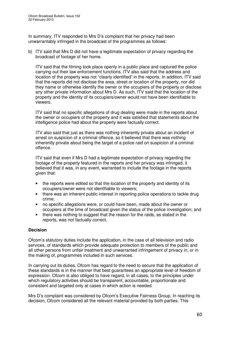In summary, ITV responded to Mrs D's complaint that her privacy had been unwarrantably infringed in the broadcast of the programmes as follows:

b) ITV said that Mrs D did not have a legitimate expectation of privacy regarding the broadcast of footage of her home.

ITV said that the filming took place openly in a public place and captured the police carrying out their law enforcement functions. ITV also said that the address and location of the property was not "clearly identified" in the reports. In addition, ITV said that the reports did not disclose the area, street or location of the property, nor did they name or otherwise identify the owner or the occupiers of the property or disclose any other private information about Mrs D. As such, ITV said that the location of the property and the identity of its occupiers/owner would not have been identifiable to viewers.

ITV said that no specific allegations of drug dealing were made in the reports about the owner or occupiers of the property and it was satisfied that statements about the intelligence police had about the property were factually correct.

ITV also said that just as there was nothing inherently private about an incident of arrest on suspicion of a criminal offence, so it believed that there was nothing inherently private about being the target of a police raid on suspicion of a criminal offence.

ITV said that even if Mrs D had a legitimate expectation of privacy regarding the footage of the property featured in the reports and her privacy was infringed, it believed that it was, in any event, warranted to include the footage in the reports given that:

- the reports were edited so that the location of the property and identity of its occupiers/owner were not identifiable to viewers;
- there was an inherent public interest in reporting police operations to tackle drug crime;
- no specific allegations were, or could have been, made about the owner or occupiers at the time of broadcast given the status of the police investigation; and
- there was nothing to suggest that the reason for the raids, as stated in the reports, was not factually correct.

### **Decision**

Ofcom's statutory duties include the application, in the case of all television and radio services, of standards which provide adequate protection to members of the public and all other persons from unfair treatment and unwarranted infringement of privacy in, or in the making of, programmes included in such services.

In carrying out its duties, Ofcom has regard to the need to secure that the application of these standards is in the manner that best guarantees an appropriate level of freedom of expression. Ofcom is also obliged to have regard, in all cases, to the principles under which regulatory activities should be transparent, accountable, proportionate and consistent and targeted only at cases in which action is needed.

Mrs D's complaint was considered by Ofcom's Executive Fairness Group. In reaching its decision, Ofcom considered all the relevant material provided by both parties. This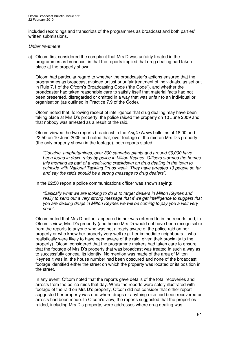included recordings and transcripts of the programmes as broadcast and both parties' written submissions.

#### *Unfair treatment*

a) Ofcom first considered the complaint that Mrs D was unfairly treated in the programmes as broadcast in that the reports implied that drug dealing had taken place at the property shown.

Ofcom had particular regard to whether the broadcaster's actions ensured that the programmes as broadcast avoided unjust or unfair treatment of individuals, as set out in Rule 7.1 of the Ofcom's Broadcasting Code ("the Code"), and whether the broadcaster had taken reasonable care to satisfy itself that material facts had not been presented, disregarded or omitted in a way that was unfair to an individual or organisation (as outlined in Practice 7.9 of the Code).

Ofcom noted that, following receipt of intelligence that drug dealing may have been taking place at Mrs D's property, the police raided the property on 10 June 2009 and that nobody was arrested as a result of the raid.

Ofcom viewed the two reports broadcast in the *Anglia News* bulletins at 18:00 and 22:50 on 10 June 2009 and noted that, over footage of the raid on Mrs D's property (the only property shown in the footage), both reports stated:

*"Cocaine, amphetamines, over 300 cannabis plants and around £6,000 have been found in dawn raids by police in Milton Keynes. Officers stormed the homes this morning as part of a week-long crackdown on drug dealing in the town to coincide with National Tackling Drugs week. They have arrested 13 people so far and say the raids should be a strong message to drug dealers".*

In the 22:50 report a police communications officer was shown saying:

*"Basically what we are looking to do is to target dealers in Milton Keynes and really to send out a very strong message that if we get intelligence to suggest that you are dealing drugs in Milton Keynes we will be coming to pay you a visit very soon".*

Ofcom noted that Mrs D neither appeared in nor was referred to in the reports and, in Ofcom's view, Mrs D's property (and hence Mrs D) would not have been recognisable from the reports to anyone who was not already aware of the police raid on her property or who knew her property very well (e.g. her immediate neighbours – who realistically were likely to have been aware of the raid, given their proximity to the property). Ofcom considered that the programme makers had taken care to ensure that the footage of Mrs D's property that was broadcast was treated in such a way as to successfully conceal its identity. No mention was made of the area of Milton Keynes it was in, the house number had been obscured and none of the broadcast footage identified either the street on which the property was located or its position in the street.

In any event, Ofcom noted that the reports gave details of the total recoveries and arrests from the police raids that day. While the reports were solely illustrated with footage of the raid on Mrs D's property, Ofcom did not consider that either report suggested her property was one where drugs or anything else had been recovered or arrests had been made. In Ofcom's view, the reports suggested that the properties raided, including Mrs D's property, were addresses where drug dealing was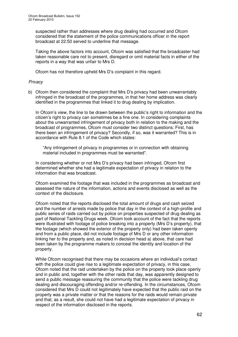suspected rather than addresses where drug dealing had occurred and Ofcom considered that the statement of the police communications officer in the report broadcast at 22:50 served to underline that message.

Taking the above factors into account, Ofcom was satisfied that the broadcaster had taken reasonable care not to present, disregard or omit material facts in either of the reports in a way that was unfair to Mrs D.

Ofcom has not therefore upheld Mrs D's complaint in this regard.

### *Privacy*

b) Ofcom then considered the complaint that Mrs D's privacy had been unwarrantably infringed in the broadcast of the programmes, in that her home address was clearly identified in the programmes that linked it to drug dealing by implication.

In Ofcom's view, the line to be drawn between the public's right to information and the citizen's right to privacy can sometimes be a fine one. In considering complaints about the unwarranted infringement of privacy both in relation to the making and the broadcast of programmes, Ofcom must consider two distinct questions: First, has there been an infringement of privacy? Secondly, if so, was it warranted? This is in accordance with Rule 8.1 of the Code which states:

"Any infringement of privacy in programmes or in connection with obtaining material included in programmes must be warranted".

In considering whether or not Mrs D's privacy had been infringed, Ofcom first determined whether she had a legitimate expectation of privacy in relation to the information that was broadcast.

Ofcom examined the footage that was included in the programmes as broadcast and assessed the nature of the information, actions and events disclosed as well as the context of the disclosure.

Ofcom noted that the reports disclosed the total amount of drugs and cash seized and the number of arrests made by police that day in the context of a high-profile and public series of raids carried out by police on properties suspected of drug dealing as part of National Tackling Drugs week. Ofcom took account of the fact that the reports were illustrated with footage of police breaking into a property (Mrs D's property), that the footage (which showed the exterior of the property only) had been taken openly and from a public place, did not include footage of Mrs D or any other information linking her to the property and, as noted in decision head a) above, that care had been taken by the programme makers to conceal the identity and location of the property.

While Ofcom recognised that there may be occasions where an individual's contact with the police could give rise to a legitimate expectation of privacy, in this case, Ofcom noted that the raid undertaken by the police on the property took place openly and in public and, together with the other raids that day, was apparently designed to send a public message reassuring the community that the police were tackling drug dealing and discouraging offending and/or re-offending. In the circumstances, Ofcom considered that Mrs D could not legitimately have expected that the public raid on the property was a private matter or that the reasons for the raids would remain private and that, as a result, she could not have had a legitimate expectation of privacy in respect of the information disclosed in the reports.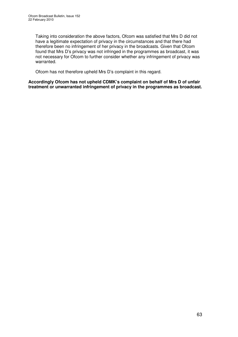Taking into consideration the above factors, Ofcom was satisfied that Mrs D did not have a legitimate expectation of privacy in the circumstances and that there had therefore been no infringement of her privacy in the broadcasts. Given that Ofcom found that Mrs D's privacy was not infringed in the programmes as broadcast, it was not necessary for Ofcom to further consider whether any infringement of privacy was warranted.

Ofcom has not therefore upheld Mrs D's complaint in this regard.

**Accordingly Ofcom has not upheld CDMK's complaint on behalf of Mrs D of unfair treatment or unwarranted infringement of privacy in the programmes as broadcast.**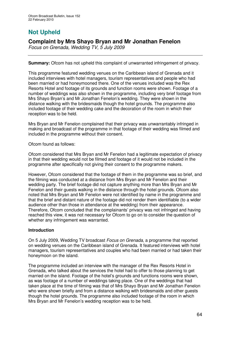# **Not Upheld**

# **Complaint by Mrs Shayo Bryan and Mr Jonathan Fenelon**

*Focus on Grenada, Wedding TV, 5 July 2009*

**Summary:** Ofcom has not upheld this complaint of unwarranted infringement of privacy.

This programme featured wedding venues on the Caribbean island of Grenada and it included interviews with hotel managers, tourism representatives and people who had been married or had honeymooned there. One of the venues included was the Rex Resorts Hotel and footage of its grounds and function rooms were shown. Footage of a number of weddings was also shown in the programme, including very brief footage from Mrs Shayo Bryan's and Mr Jonathan Fenelon's wedding. They were shown in the distance walking with the bridesmaids though the hotel grounds. The programme also included footage of their wedding cake and the decoration of the room in which their reception was to be held.

Mrs Bryan and Mr Fenelon complained that their privacy was unwarrantably infringed in making and broadcast of the programme in that footage of their wedding was filmed and included in the programme without their consent.

Ofcom found as follows:

Ofcom considered that Mrs Bryan and Mr Fenelon had a legitimate expectation of privacy in that their wedding would not be filmed and footage of it would not be included in the programme after specifically not giving their consent to the programme makers.

However, Ofcom considered that the footage of them in the programme was so brief, and the filming was conducted at a distance from Mrs Bryan and Mr Fenelon and their wedding party. The brief footage did not capture anything more than Mrs Bryan and Mr Fenelon and their guests walking in the distance through the hotel grounds. Ofcom also noted that Mrs Bryan and Mr Fenelon were not identified by name in the programme and that the brief and distant nature of the footage did not render them identifiable (to a wider audience other than those in attendance at the wedding) from their appearance. Therefore, Ofcom concluded that the complainants' privacy was not infringed and having reached this view, it was not necessary for Ofcom to go on to consider the question of whether any infringement was warranted.

## **Introduction**

On 5 July 2009, Wedding TV broadcast *Focus on Grenada*, a programme that reported on wedding venues on the Caribbean island of Grenada. It featured interviews with hotel managers, tourism representatives and couples who had been married or had taken their honeymoon on the island.

The programme included an interview with the manager of the Rex Resorts Hotel in Grenada, who talked about the services the hotel had to offer to those planning to get married on the island. Footage of the hotel's grounds and functions rooms were shown, as was footage of a number of weddings taking place. One of the weddings that had taken place at the time of filming was that of Mrs Shayo Bryan and Mr Jonathan Fenelon who were shown briefly and from a distance walking with bridesmaids and other guests though the hotel grounds. The programme also included footage of the room in which Mrs Bryan and Mr Fenelon's wedding reception was to be held.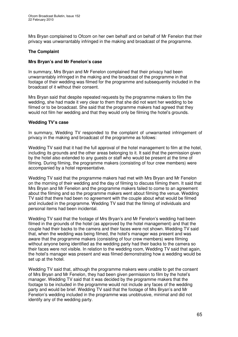Mrs Bryan complained to Ofcom on her own behalf and on behalf of Mr Fenelon that their privacy was unwarrantably infringed in the making and broadcast of the programme.

### **The Complaint**

#### **Mrs Bryan's and Mr Fenelon's case**

In summary, Mrs Bryan and Mr Fenelon complained that their privacy had been unwarrantably infringed in the making and the broadcast of the programme in that footage of their wedding was filmed for the programme and subsequently included in the broadcast of it without their consent.

Mrs Bryan said that despite repeated requests by the programme makers to film the wedding, she had made it very clear to them that she did not want her wedding to be filmed or to be broadcast. She said that the programme makers had agreed that they would not film her wedding and that they would only be filming the hotel's grounds.

### **Wedding TV's case**

In summary, Wedding TV responded to the complaint of unwarranted infringement of privacy in the making and broadcast of the programme as follows:

Wedding TV said that it had the full approval of the hotel management to film at the hotel, including its grounds and the other areas belonging to it. It said that the permission given by the hotel also extended to any guests or staff who would be present at the time of filming. During filming, the programme makers (consisting of four crew members) were accompanied by a hotel representative.

Wedding TV said that the programme makers had met with Mrs Bryan and Mr Fenelon on the morning of their wedding and the day of filming to discuss filming them. It said that Mrs Bryan and Mr Fenelon and the programme makers failed to come to an agreement about the filming and so the programme makers went about filming the venue. Wedding TV said that there had been no agreement with the couple about what would be filmed and included in the programme. Wedding TV said that the filming of individuals and personal items had been incidental.

Wedding TV said that the footage of Mrs Bryan's and Mr Fenelon's wedding had been filmed in the grounds of the hotel (as approved by the hotel management) and that the couple had their backs to the camera and their faces were not shown. Wedding TV said that, when the wedding was being filmed, the hotel's manager was present and was aware that the programme makers (consisting of four crew members) were filming without anyone being identified as the wedding party had their backs to the camera so their faces were not visible. In relation to the wedding room, Wedding TV said that again, the hotel's manager was present and was filmed demonstrating how a wedding would be set up at the hotel.

Wedding TV said that, although the programme makers were unable to get the consent of Mrs Bryan and Mr Fenelon, they had been given permission to film by the hotel's manager. Wedding TV said that it was decided by the programme makers that the footage to be included in the programme would not include any faces of the wedding party and would be brief. Wedding TV said that the footage of Mrs Bryan's and Mr Fenelon's wedding included in the programme was unobtrusive, minimal and did not identify any of the wedding party.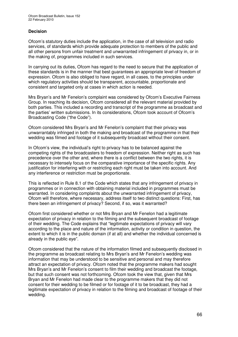## **Decision**

Ofcom's statutory duties include the application, in the case of all television and radio services, of standards which provide adequate protection to members of the public and all other persons from unfair treatment and unwarranted infringement of privacy in, or in the making of, programmes included in such services.

In carrying out its duties, Ofcom has regard to the need to secure that the application of these standards is in the manner that best guarantees an appropriate level of freedom of expression. Ofcom is also obliged to have regard, in all cases, to the principles under which regulatory activities should be transparent, accountable, proportionate and consistent and targeted only at cases in which action is needed.

Mrs Bryan's and Mr Fenelon's complaint was considered by Ofcom's Executive Fairness Group. In reaching its decision, Ofcom considered all the relevant material provided by both parties. This included a recording and transcript of the programme as broadcast and the parties' written submissions. In its considerations, Ofcom took account of Ofcom's Broadcasting Code ("the Code").

Ofcom considered Mrs Bryan's and Mr Fenelon's complaint that their privacy was unwarrantably infringed in both the making and broadcast of the programme in that their wedding was filmed and footage of it subsequently broadcast without their consent.

In Ofcom's view, the individual's right to privacy has to be balanced against the competing rights of the broadcasters to freedom of expression. Neither right as such has precedence over the other and, where there is a conflict between the two rights, it is necessary to intensely focus on the comparative importance of the specific rights. Any justification for interfering with or restricting each right must be taken into account. And any interference or restriction must be proportionate.

This is reflected in Rule 8.1 of the Code which states that any infringement of privacy in programmes or in connection with obtaining material included in programmes must be warranted. In considering complaints about the unwarranted infringement of privacy, Ofcom will therefore, where necessary, address itself to two distinct questions: First, has there been an infringement of privacy? Second, if so, was it warranted?

Ofcom first considered whether or not Mrs Bryan and Mr Fenelon had a legitimate expectation of privacy in relation to the filming and the subsequent broadcast of footage of their wedding. The Code explains that "legitimate expectations of privacy will vary according to the place and nature of the information, activity or condition in question, the extent to which it is in the public domain (if at all) and whether the individual concerned is already in the public eye".

Ofcom considered that the nature of the information filmed and subsequently disclosed in the programme as broadcast relating to Mrs Bryan's and Mr Fenelon's wedding was information that may be understood to be sensitive and personal and may therefore attract an expectation of privacy. Ofcom noted that the programme makers had sought Mrs Bryan's and Mr Fenelon's consent to film their wedding and broadcast the footage, but that such consent was not forthcoming. Ofcom took the view that, given that Mrs Bryan and Mr Fenelon had made clear to the programme makers that they did not consent for their wedding to be filmed or for footage of it to be broadcast, they had a legitimate expectation of privacy in relation to the filming and broadcast of footage of their wedding.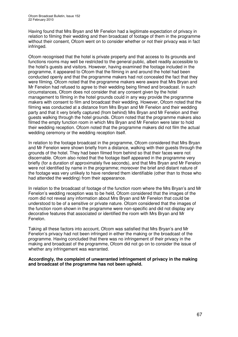Having found that Mrs Bryan and Mr Fenelon had a legitimate expectation of privacy in relation to filming their wedding and then broadcast of footage of them in the programme without their consent, Ofcom went on to consider whether or not their privacy was in fact infringed.

Ofcom recognised that the hotel is private property and that access to its grounds and functions rooms may well be restricted to the general public, albeit readily accessible to the hotel's guests and visitors. However, having examined the footage included in the programme, it appeared to Ofcom that the filming in and around the hotel had been conducted openly and that the programme makers had not concealed the fact that they were filming. Ofcom noted that the programme makers were aware that Mrs Bryan and Mr Fenelon had refused to agree to their wedding being filmed and broadcast. In such circumstances, Ofcom does not consider that any consent given by the hotel management to filming in the hotel grounds could in any way provide the programme makers with consent to film and broadcast their wedding. However, Ofcom noted that the filming was conducted at a distance from Mrs Bryan and Mr Fenelon and their wedding party and that it very briefly captured (from behind) Mrs Bryan and Mr Fenelon and their guests walking through the hotel grounds. Ofcom noted that the programme makers also filmed the empty function room in which Mrs Bryan and Mr Fenelon were later to hold their wedding reception. Ofcom noted that the programme makers did not film the actual wedding ceremony or the wedding reception itself.

In relation to the footage broadcast in the programme, Ofcom considered that Mrs Bryan and Mr Fenelon were shown briefly from a distance, walking with their guests through the grounds of the hotel. They had been filmed from behind so that their faces were not discernable. Ofcom also noted that the footage itself appeared in the programme very briefly (for a duration of approximately five seconds), and that Mrs Bryan and Mr Fenelon were not identified by name in the programme; moreover the brief and distant nature of the footage was very unlikely to have rendered them identifiable (other than to those who had attended the wedding) from their appearance.

In relation to the broadcast of footage of the function room where the Mrs Bryan's and Mr Fenelon's wedding reception was to be held, Ofcom considered that the images of the room did not reveal any information about Mrs Bryan and Mr Fenelon that could be understood to be of a sensitive or private nature. Ofcom considered that the images of the function room shown in the programme were non-specific and did not display any decorative features that associated or identified the room with Mrs Bryan and Mr Fenelon.

Taking all these factors into account, Ofcom was satisfied that Mrs Bryan's and Mr Fenelon's privacy had not been infringed in either the making or the broadcast of the programme. Having concluded that there was no infringement of their privacy in the making and broadcast of the programme, Ofcom did not go on to consider the issue of whether any infringement was warranted.

#### **Accordingly, the complaint of unwarranted infringement of privacy in the making and broadcast of the programme has not been upheld.**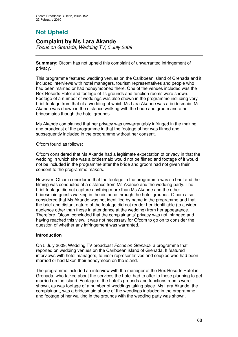# **Not Upheld**

# **Complaint by Ms Lara Akande**

*Focus on Grenada, Wedding TV, 5 July 2009*

**Summary:** Ofcom has not upheld this complaint of unwarranted infringement of privacy.

This programme featured wedding venues on the Caribbean island of Grenada and it included interviews with hotel managers, tourism representatives and people who had been married or had honeymooned there. One of the venues included was the Rex Resorts Hotel and footage of its grounds and function rooms were shown. Footage of a number of weddings was also shown in the programme including very brief footage from that of a wedding at which Ms Lara Akande was a bridesmaid. Ms Akande was shown in the distance walking with the bride and groom and other bridesmaids though the hotel grounds.

Ms Akande complained that her privacy was unwarrantably infringed in the making and broadcast of the programme in that the footage of her was filmed and subsequently included in the programme without her consent.

Ofcom found as follows:

Ofcom considered that Ms Akande had a legitimate expectation of privacy in that the wedding in which she was a bridesmaid would not be filmed and footage of it would not be included in the programme after the bride and groom had not given their consent to the programme makers.

However, Ofcom considered that the footage in the programme was so brief and the filming was conducted at a distance from Ms Akande and the wedding party. The brief footage did not capture anything more than Ms Akande and the other bridesmaid guests walking in the distance through the hotel grounds. Ofcom also considered that Ms Akande was not identified by name in the programme and that the brief and distant nature of the footage did not render her identifiable (to a wider audience other than those in attendance at the wedding) from her appearance. Therefore, Ofcom concluded that the complainants' privacy was not infringed and having reached this view, it was not necessary for Ofcom to go on to consider the question of whether any infringement was warranted.

## **Introduction**

On 5 July 2009, Wedding TV broadcast *Focus on Grenada*, a programme that reported on wedding venues on the Caribbean island of Grenada. It featured interviews with hotel managers, tourism representatives and couples who had been married or had taken their honeymoon on the island.

The programme included an interview with the manager of the Rex Resorts Hotel in Grenada, who talked about the services the hotel had to offer to those planning to get married on the island. Footage of the hotel's grounds and functions rooms were shown, as was footage of a number of weddings taking place. Ms Lara Akande, the complainant, was a bridesmaid at one of the weddings included in the programme and footage of her walking in the grounds with the wedding party was shown.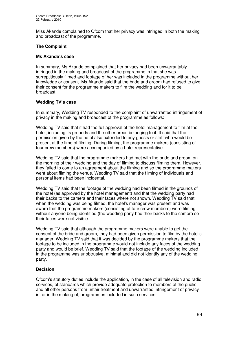Miss Akande complained to Ofcom that her privacy was infringed in both the making and broadcast of the programme.

### **The Complaint**

### **Ms Akande's case**

In summary, Ms Akande complained that her privacy had been unwarrantably infringed in the making and broadcast of the programme in that she was surreptitiously filmed and footage of her was included in the programme without her knowledge or consent. Ms Akande said that the bride and groom had refused to give their consent for the programme makers to film the wedding and for it to be broadcast.

### **Wedding TV's case**

In summary, Wedding TV responded to the complaint of unwarranted infringement of privacy in the making and broadcast of the programme as follows:

Wedding TV said that it had the full approval of the hotel management to film at the hotel, including its grounds and the other areas belonging to it. It said that the permission given by the hotel also extended to any guests or staff who would be present at the time of filming. During filming, the programme makers (consisting of four crew members) were accompanied by a hotel representative.

Wedding TV said that the programme makers had met with the bride and groom on the morning of their wedding and the day of filming to discuss filming them. However, they failed to come to an agreement about the filming and so the programme makers went about filming the venue. Wedding TV said that the filming of individuals and personal items had been incidental.

Wedding TV said that the footage of the wedding had been filmed in the grounds of the hotel (as approved by the hotel management) and that the wedding party had their backs to the camera and their faces where not shown. Wedding TV said that when the wedding was being filmed, the hotel's manager was present and was aware that the programme makers (consisting of four crew members) were filming without anyone being identified (the wedding party had their backs to the camera so their faces were not visible.

Wedding TV said that although the programme makers were unable to get the consent of the bride and groom, they had been given permission to film by the hotel's manager. Wedding TV said that it was decided by the programme makers that the footage to be included in the programme would not include any faces of the wedding party and would be brief. Wedding TV said that the footage of the wedding included in the programme was unobtrusive, minimal and did not identify any of the wedding party.

### **Decision**

Ofcom's statutory duties include the application, in the case of all television and radio services, of standards which provide adequate protection to members of the public and all other persons from unfair treatment and unwarranted infringement of privacy in, or in the making of, programmes included in such services.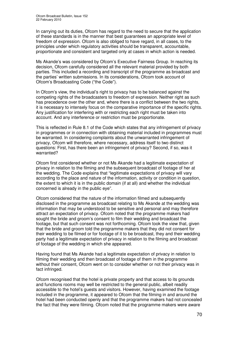In carrying out its duties, Ofcom has regard to the need to secure that the application of these standards is in the manner that best guarantees an appropriate level of freedom of expression. Ofcom is also obliged to have regard, in all cases, to the principles under which regulatory activities should be transparent, accountable, proportionate and consistent and targeted only at cases in which action is needed.

Ms Akande's was considered by Ofcom's Executive Fairness Group. In reaching its decision, Ofcom carefully considered all the relevant material provided by both parties. This included a recording and transcript of the programme as broadcast and the parties' written submissions. In its considerations, Ofcom took account of Ofcom's Broadcasting Code ("the Code").

In Ofcom's view, the individual's right to privacy has to be balanced against the competing rights of the broadcasters to freedom of expression. Neither right as such has precedence over the other and, where there is a conflict between the two rights, it is necessary to intensely focus on the comparative importance of the specific rights. Any justification for interfering with or restricting each right must be taken into account. And any interference or restriction must be proportionate.

This is reflected in Rule 8.1 of the Code which states that any infringement of privacy in programmes or in connection with obtaining material included in programmes must be warranted. In considering complaints about the unwarranted infringement of privacy, Ofcom will therefore, where necessary, address itself to two distinct questions: First, has there been an infringement of privacy? Second, if so, was it warranted?

Ofcom first considered whether or not Ms Akande had a legitimate expectation of privacy in relation to the filming and the subsequent broadcast of footage of her at the wedding. The Code explains that "legitimate expectations of privacy will vary according to the place and nature of the information, activity or condition in question, the extent to which it is in the public domain (if at all) and whether the individual concerned is already in the public eye".

Ofcom considered that the nature of the information filmed and subsequently disclosed in the programme as broadcast relating to Ms Akande at the wedding was information that may be understood to be sensitive and personal and may therefore attract an expectation of privacy. Ofcom noted that the programme makers had sought the bride and groom's consent to film their wedding and broadcast the footage, but that such consent was not forthcoming. Ofcom took the view that, given that the bride and groom told the programme makers that they did not consent for their wedding to be filmed or for footage of it to be broadcast, they and their wedding party had a legitimate expectation of privacy in relation to the filming and broadcast of footage of the wedding in which she appeared.

Having found that Ms Akande had a legitimate expectation of privacy in relation to filming their wedding and then broadcast of footage of them in the programme without their consent, Ofcom went on to consider whether or not their privacy was in fact infringed.

Ofcom recognised that the hotel is private property and that access to its grounds and functions rooms may well be restricted to the general public, albeit readily accessible to the hotel's guests and visitors. However, having examined the footage included in the programme, it appeared to Ofcom that the filming in and around the hotel had been conducted openly and that the programme makers had not concealed the fact that they were filming. Ofcom noted that the programme makers were aware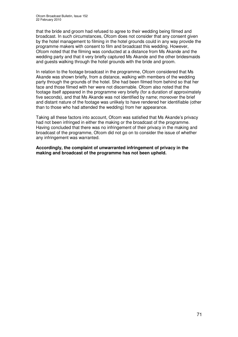that the bride and groom had refused to agree to their wedding being filmed and broadcast. In such circumstances, Ofcom does not consider that any consent given by the hotel management to filming in the hotel grounds could in any way provide the programme makers with consent to film and broadcast this wedding. However, Ofcom noted that the filming was conducted at a distance from Ms Akande and the wedding party and that it very briefly captured Ms Akande and the other bridesmaids and guests walking through the hotel grounds with the bride and groom.

In relation to the footage broadcast in the programme, Ofcom considered that Ms Akande was shown briefly, from a distance, walking with members of the wedding party through the grounds of the hotel. She had been filmed from behind so that her face and those filmed with her were not discernable. Ofcom also noted that the footage itself appeared in the programme very briefly (for a duration of approximately five seconds), and that Ms Akande was not identified by name; moreover the brief and distant nature of the footage was unlikely to have rendered her identifiable (other than to those who had attended the wedding) from her appearance.

Taking all these factors into account, Ofcom was satisfied that Ms Akande's privacy had not been infringed in either the making or the broadcast of the programme. Having concluded that there was no infringement of their privacy in the making and broadcast of the programme, Ofcom did not go on to consider the issue of whether any infringement was warranted.

**Accordingly, the complaint of unwarranted infringement of privacy in the making and broadcast of the programme has not been upheld.**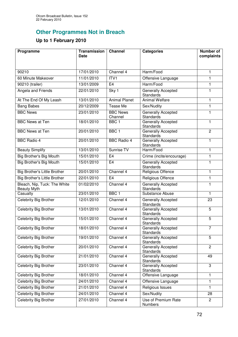# **Other Programmes Not in Breach**

# **Up to 1 February 2010**

| Programme                                          | <b>Transmission</b><br><b>Date</b> | Channel                    | <b>Categories</b>                             | Number of<br>complaints |
|----------------------------------------------------|------------------------------------|----------------------------|-----------------------------------------------|-------------------------|
|                                                    |                                    |                            |                                               |                         |
|                                                    |                                    |                            |                                               |                         |
| 90210                                              | 17/01/2010                         | Channel 4                  | Harm/Food                                     | $\mathbf{1}$            |
| 60 Minute Makeover                                 | 11/01/2010                         | ITVI                       | Offensive Language                            | $\mathbf{1}$            |
| 90210 (trailer)                                    | 13/01/2009                         | E <sub>4</sub>             | Harm/Food                                     | 1                       |
| Angela and Friends                                 | 22/01/2010                         | Sky 1                      | <b>Generally Accepted</b><br><b>Standards</b> | 1                       |
| At The End Of My Leash                             | 13/01/2010                         | <b>Animal Planet</b>       | <b>Animal Welfare</b>                         | $\mathbf{1}$            |
| <b>Bang Babes</b>                                  | 20/12/2009                         | Tease Me                   | Sex/Nudity                                    | 1                       |
| <b>BBC News</b>                                    | 23/01/2010                         | <b>BBC News</b><br>Channel | Generally Accepted<br>Standards               | 1                       |
| <b>BBC News at Ten</b>                             | 18/01/2010                         | BBC <sub>1</sub>           | Generally Accepted<br>Standards               | 1                       |
| <b>BBC News at Ten</b>                             | 20/01/2010                         | BBC <sub>1</sub>           | Generally Accepted<br>Standards               | $\overline{c}$          |
| <b>BBC Radio 4</b>                                 | 20/01/2010                         | <b>BBC Radio 4</b>         | <b>Generally Accepted</b><br>Standards        | $\mathbf{1}$            |
| <b>Beauty Simplify</b>                             | 13/01/2010                         | Sunrise TV                 | Harm/Food                                     | 1                       |
| Big Brother's Big Mouth                            | 15/01/2010                         | E <sub>4</sub>             | Crime (incite/encourage)                      | $\mathbf{1}$            |
| Big Brother's Big Mouth                            | 15/01/2010                         | E <sub>4</sub>             | Generally Accepted<br><b>Standards</b>        | 1                       |
| <b>Big Brother's Little Brother</b>                | 20/01/2010                         | Channel 4                  | Religious Offence                             | $\mathbf{1}$            |
| <b>Big Brother's Little Brother</b>                | 22/01/2010                         | E <sub>4</sub>             | <b>Religious Offence</b>                      | 1                       |
| Bleach, Nip, Tuck: The White<br><b>Beauty Myth</b> | 01/02/2010                         | Channel 4                  | Generally Accepted<br><b>Standards</b>        | 1                       |
| Casualty                                           | 23/01/2010                         | BBC <sub>1</sub>           | Substance Abuse                               | 1                       |
| Celebrity Big Brother                              | 12/01/2010                         | Channel 4                  | Generally Accepted<br><b>Standards</b>        | 23                      |
| Celebrity Big Brother                              | 13/01/2010                         | Channel 4                  | Generally Accepted<br><b>Standards</b>        | 5                       |
| Celebrity Big Brother                              | 15/01/2010                         | Channel 4                  | <b>Generally Accepted</b><br>Standards        | $\overline{5}$          |
| <b>Celebrity Big Brother</b>                       | 18/01/2010                         | Channel 4                  | Generally Accepted<br>Standards               | $\overline{7}$          |
| <b>Celebrity Big Brother</b>                       | 19/01/2010                         | Channel 4                  | <b>Generally Accepted</b><br>Standards        | $\overline{5}$          |
| Celebrity Big Brother                              | 20/01/2010                         | Channel 4                  | Generally Accepted<br><b>Standards</b>        | $\overline{2}$          |
| Celebrity Big Brother                              | 21/01/2010                         | Channel 4                  | Generally Accepted<br><b>Standards</b>        | 49                      |
| Celebrity Big Brother                              | 23/01/2010                         | Channel 4                  | <b>Generally Accepted</b><br><b>Standards</b> | 3                       |
| Celebrity Big Brother                              | 18/01/2010                         | Channel 4                  | Offensive Language                            | 1                       |
| Celebrity Big Brother                              | 24/01/2010                         | Channel 4                  | Offensive Language                            | 1                       |
| <b>Celebrity Big Brother</b>                       | 21/01/2010                         | Channel 4                  | Religious Issues                              | $\mathbf{1}$            |
| Celebrity Big Brother                              | 24/01/2010                         | Channel 4                  | Sex/Nudity                                    | 28                      |
| <b>Celebrity Big Brother</b>                       | 27/01/2010                         | Channel 4                  | <b>Use of Premium Rate</b><br>Numbers         | $\overline{c}$          |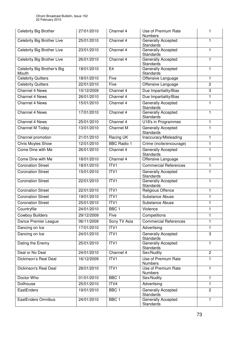| Celebrity Big Brother                | 27/01/2010 | Channel 4          | Use of Premium Rate<br><b>Numbers</b>                   | 1              |
|--------------------------------------|------------|--------------------|---------------------------------------------------------|----------------|
| Celebrity Big Brother Live           | 25/01/2010 | Channel 4          | Generally Accepted<br><b>Standards</b>                  | 1.             |
| Celebrity Big Brother Live           | 23/01/2010 | Channel 4          | Generally Accepted<br><b>Standards</b>                  | 1              |
| Celebrity Big Brother Live           | 26/01/2010 | Channel 4          | Generally Accepted<br><b>Standards</b>                  | 1              |
| Celebrity Big Brother's Big<br>Mouth | 18/01/2010 | E <sub>4</sub>     | Generally Accepted<br>Standards                         | 1              |
| <b>Celebrity Quitters</b>            | 18/01/2010 | Five               | Offensive Language                                      | 1              |
| <b>Celebrity Quitters</b>            | 22/01/2010 | Five               | Offensive Language                                      | $\overline{c}$ |
| Channel 4 News                       | 10/12/2009 | Channel 4          | Due Impartiality/Bias                                   | 3              |
| <b>Channel 4 News</b>                | 26/01/2010 | Channel 4          | Due Impartiality/Bias                                   | $\mathbf{1}$   |
| Channel 4 News                       | 15/01/2010 | Channel 4          | Generally Accepted<br><b>Standards</b>                  | $\mathbf{1}$   |
| <b>Channel 4 News</b>                | 17/01/2010 | Channel 4          | Generally Accepted<br><b>Standards</b>                  | 1              |
| Channel 4 News                       | 25/01/2010 | Channel 4          | U18's in Programmes                                     | 1              |
| Channel M Today                      | 13/01/2010 | Channel M          | <b>Generally Accepted</b><br><b>Standards</b>           | 1              |
| Channel promotion                    | 21/01/2010 | Racing UK          | Inaccuracy/Misleading                                   | 1              |
| <b>Chris Moyles Show</b>             | 12/01/2010 | <b>BBC Radio 1</b> | Crime (incite/encourage)                                | $\mathbf{1}$   |
| Come Dine with Me                    | 26/01/2010 | Channel 4          | Generally Accepted<br>Standards                         | 1              |
| Come Dine with Me                    | 18/01/2010 | Channel 4          | Offensive Language                                      | 1              |
| <b>Coronation Street</b>             | 18/01/2010 | ITV1               | <b>Commercial References</b>                            | $\mathbf{1}$   |
| <b>Coronation Street</b>             | 15/01/2010 | ITV <sub>1</sub>   | Generally Accepted<br><b>Standards</b>                  | 1              |
| <b>Coronation Street</b>             | 22/01/2010 | ITV1               | Generally Accepted<br><b>Standards</b>                  | 1              |
| <b>Coronation Street</b>             | 22/01/2010 | ITVI               | Religious Offence                                       | $\mathbf{1}$   |
| <b>Coronation Street</b>             | 19/01/2010 | ITV1               | Substance Abuse                                         | $\mathbf{1}$   |
| <b>Coronation Street</b>             | 25/01/2010 | ITVI               | Substance Abuse                                         | 1              |
| Countryfile                          | 24/01/2010 | BBC <sub>1</sub>   | Violence                                                | 1              |
| <b>Cowboy Builders</b>               | 29/12/2009 | Five               | Competitions                                            | 1              |
| Dance Premier League                 | 06/11/2009 | Sony TV Asia       | <b>Commercial References</b>                            | 1              |
| Dancing on Ice                       | 17/01/2010 | ITV1               | Advertising                                             | $\mathbf{1}$   |
| Dancing on Ice                       | 24/01/2010 | ITV1               | Generally Accepted<br><b>Standards</b>                  | 3              |
| Dating the Enemy                     | 25/01/2010 | ITVI               | <b>Generally Accepted</b><br>Standards                  | $\mathbf{1}$   |
| Deal or No Deal                      | 24/01/2010 | Channel 4          | Sex/Nudity                                              | $\overline{2}$ |
| Dickinson's Real Deal                | 16/12/2009 | ITV1               | Use of Premium Rate                                     | 1              |
| Dickinson's Real Deal                | 28/01/2010 | ITV1               | <b>Numbers</b><br>Use of Premium Rate<br><b>Numbers</b> | 1              |
| Doctor Who                           | 01/01/2010 | BBC <sub>1</sub>   | Sex/Nudity                                              | $\mathbf{1}$   |
| Dollhouse                            | 25/01/2010 | ITV4               | Advertising                                             | 1              |
| EastEnders                           | 19/01/2010 | BBC <sub>1</sub>   | Generally Accepted<br><b>Standards</b>                  | $\overline{c}$ |
| EastEnders Omnibus                   | 24/01/2010 | BBC <sub>1</sub>   | Generally Accepted<br>Standards                         | 1              |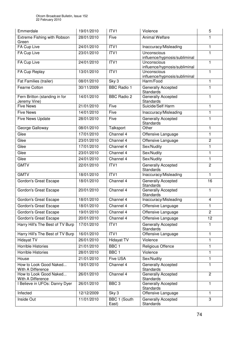| Emmerdale                                     | 19/01/2010 | ITV1                         | Violence                                      | 5              |
|-----------------------------------------------|------------|------------------------------|-----------------------------------------------|----------------|
| Extreme Fishing with Robson<br>Green          | 28/01/2010 | Five                         | <b>Animal Welfare</b>                         | 1              |
| FA Cup Live                                   | 24/01/2010 | ITV1                         | Inaccuracy/Misleading                         | 1              |
| FA Cup Live                                   | 23/01/2010 | ITV1                         | Unconscious<br>influence/hypnosis/subliminal  | 1              |
| FA Cup Live                                   | 24/01/2010 | ITV1                         | Unconscious<br>influence/hypnosis/subliminal  | 1              |
| FA Cup Replay                                 | 13/01/2010 | ITV1                         | Unconscious<br>influence/hypnosis/subliminal  | 1              |
| Fat Families (trailer)                        | 08/01/2010 | Sky 3                        | Harm/Food                                     | 1              |
| Fearne Cotton                                 | 30/11/2009 | <b>BBC Radio 1</b>           | Generally Accepted<br>Standards               | 1              |
| Fern Britton (standing in for<br>Jeremy Vine) | 14/01/2010 | <b>BBC Radio 2</b>           | Generally Accepted<br>Standards               | 1              |
| <b>Five News</b>                              | 21/01/2010 | Five                         | Suicide/Self Harm                             | 1              |
| <b>Five News</b>                              | 14/01/2010 | Five                         | Inaccuracy/Misleading                         | 1              |
| Five News Update                              | 28/01/2010 | Five                         | Generally Accepted<br><b>Standards</b>        | 1              |
| George Galloway                               | 08/01/2010 | Talksport                    | Other                                         | 1              |
| Glee                                          | 17/01/2010 | Channel 4                    | Offensive Language                            | 1              |
| Glee                                          | 23/01/2010 | Channel 4                    | Offensive Language                            | $\overline{2}$ |
| Glee                                          | 17/01/2010 | Channel 4                    | Sex/Nudity                                    | 1              |
| Glee                                          | 23/01/2010 | Channel 4                    | Sex/Nudity                                    | $\mathbf{1}$   |
| Glee                                          | 24/01/2010 | Channel 4                    | Sex/Nudity                                    | $\mathbf{1}$   |
| <b>GMTV</b>                                   | 22/01/2010 | ITV1                         | Generally Accepted<br><b>Standards</b>        | $\overline{2}$ |
| <b>GMTV</b>                                   | 18/01/2010 | ITVI                         | Inaccuracy/Misleading                         | 1              |
| Gordon's Great Escape                         | 18/01/2010 | Channel 4                    | <b>Generally Accepted</b><br>Standards        | 16             |
| Gordon's Great Escape                         | 20/01/2010 | Channel 4                    | <b>Generally Accepted</b><br><b>Standards</b> | $\mathbf{1}$   |
| Gordon's Great Escape                         | 18/01/2010 | Channel 4                    | Inaccuracy/Misleading                         | 4              |
| <b>Gordon's Great Escape</b>                  | 18/01/2010 | Channel 4                    | Offensive Language                            | 1              |
| <b>Gordon's Great Escape</b>                  | 19/01/2010 | Channel 4                    | Offensive Language                            | $\overline{2}$ |
| <b>Gordon's Great Escape</b>                  | 20/01/2010 | Channel 4                    | Offensive Language                            | 12             |
| Harry Hill's The Best of TV Burp              | 17/01/2010 | ITV <sub>1</sub>             | Generally Accepted<br>Standards               | 1              |
| Harry Hill's The Best of TV Burp              | 16/01/2010 | ITV1                         | Offensive Language                            | 1              |
| <b>Hidayat TV</b>                             | 26/01/2010 | <b>Hidayat TV</b>            | Violence                                      | $\mathbf{1}$   |
| <b>Horrible Histories</b>                     | 21/01/2010 | BBC <sub>1</sub>             | Religious Offence                             | 1              |
| Horrible Histories                            | 28/01/2010 | BBC <sub>1</sub>             | Violence                                      | 1              |
| House                                         | 21/01/2010 | Five USA                     | Sex/Nudity                                    | $\mathbf{1}$   |
| How to Look Good Naked<br>With A Difference   | 19/01/2010 | Channel 4                    | <b>Generally Accepted</b><br><b>Standards</b> | 1              |
| How to Look Good Naked<br>With A Difference   | 26/01/2010 | Channel 4                    | Generally Accepted<br><b>Standards</b>        | $\overline{c}$ |
| I Believe in UFOs: Danny Dyer                 | 26/01/2010 | BBC <sub>3</sub>             | Generally Accepted<br><b>Standards</b>        | $\mathbf{1}$   |
| Infected                                      | 12/12/2009 | Sky 3                        | Offensive Language                            | 1              |
| Inside Out                                    | 11/01/2010 | <b>BBC 1 (South</b><br>East) | Generally Accepted<br><b>Standards</b>        | 3              |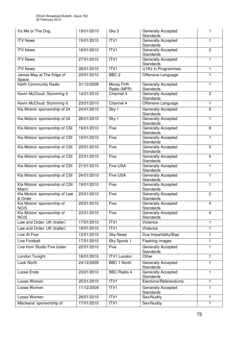| It's Me or The Dog                        | 19/01/2010 | Sky 3                      | <b>Generally Accepted</b><br><b>Standards</b> |                |
|-------------------------------------------|------------|----------------------------|-----------------------------------------------|----------------|
| <b>ITV News</b>                           | 15/01/2010 | ITVI                       | Generally Accepted<br><b>Standards</b>        | 1              |
| <b>ITV News</b>                           | 18/01/2010 | ITV <sub>1</sub>           | Generally Accepted<br><b>Standards</b>        | $\overline{c}$ |
| <b>ITV News</b>                           | 27/01/2010 | ITVI                       | Generally Accepted<br><b>Standards</b>        | 1              |
| <b>ITV News</b>                           | 28/01/2010 | ITV <sub>1</sub>           | U18's in Programmes                           | 1              |
| James May at The Edge of<br>Space         | 20/01/2010 | BBC <sub>2</sub>           | Offensive Language                            | 1              |
| Keith Community Radio                     | 31/12/2009 | Moray Firth<br>Radio (MFR) | Generally Accepted<br><b>Standards</b>        | 1              |
| Kevin McCloud: Slumming It                | 14/01/2010 | Channel 4                  | Generally Accepted<br><b>Standards</b>        | 3              |
| Kevin McCloud: Slumming It                | 23/01/2010 | Channel 4                  | Offensive Language                            | 1              |
| Kia Motors' sponsorship of 24             | 24/01/2010 | Sky 1                      | Generally Accepted<br><b>Standards</b>        | 6              |
| Kia Motors' sponsorship of 24             | 28/01/2010 | Sky 1                      | Generally Accepted<br><b>Standards</b>        | 1              |
| Kia Motors' sponsorship of CSI            | 19/01/2010 | Five                       | <b>Generally Accepted</b><br>Standards        | 8              |
| Kia Motors' sponsorship of CSI            | 19/01/2010 | Five                       | Generally Accepted<br><b>Standards</b>        | 1              |
| Kia Motors' sponsorship of CSI            | 23/01/2010 | Five                       | Generally Accepted<br><b>Standards</b>        | 3              |
| Kia Motors' sponsorship of CSI            | 23/01/2010 | Five                       | Generally Accepted<br><b>Standards</b>        | 4              |
| Kia Motors' sponsorship of CSI            | 21/01/2010 | <b>Five USA</b>            | Generally Accepted<br><b>Standards</b>        | 1              |
| Kia Motors' sponsorship of CSI            | 24/01/2010 | Five USA                   | Generally Accepted<br><b>Standards</b>        | 1              |
| Kia Motors' sponsorship of CSI:<br>Miami  | 19/01/2010 | Five                       | Generally Accepted<br><b>Standards</b>        | 1              |
| Kia Motors' sponsorship of Law<br>& Order | 23/01/2010 | Five                       | Generally Accepted<br><b>Standards</b>        | $\overline{2}$ |
| Kia Motors' sponsorship of<br><b>NCIS</b> | 20/01/2010 | Five                       | Generally Accepted<br>Standards               | 4              |
| Kia Motors' sponsorship of<br><b>NCIS</b> | 23/01/2010 | Five                       | Generally Accepted<br><b>Standards</b>        | 4              |
| Law and Order: UK (trailer)               | 17/01/2010 | ITV <sub>1</sub>           | Violence                                      | 1              |
| Law and Order: UK (trailer)               | 18/01/2010 | ITV1                       | Violence                                      | 1              |
| Live At Five                              | 12/01/2010 | <b>Sky News</b>            | Due Impartiality/Bias                         | 1              |
| Live Football                             | 17/01/2010 | Sky Sports 1               | Flashing images                               | 1              |
| Live from Studio Five trailer             | 22/01/2010 | Five                       | <b>Generally Accepted</b><br><b>Standards</b> | 1              |
| London Tonight                            | 18/01/2010 | <b>ITV1 London</b>         | Other                                         | 1              |
| Look North                                | 24/12/2009 | <b>BBC 1 North</b>         | <b>Generally Accepted</b><br>Standards        | $\mathbf{1}$   |
| Loose Ends                                | 23/01/2010 | <b>BBC Radio 4</b>         | Generally Accepted<br>Standards               | 1              |
| Loose Women                               | 25/01/2010 | ITV1                       | Elections/Referendums                         | 1              |
| Loose Women                               | 11/12/2009 | ITV1                       | <b>Generally Accepted</b><br><b>Standards</b> | 1              |
| Loose Women                               | 29/01/2010 | ITV1                       | Sex/Nudity                                    | 1              |
| Macleans' sponsorship of                  | 17/01/2010 | ITV1                       | Sex/Nudity                                    | 1              |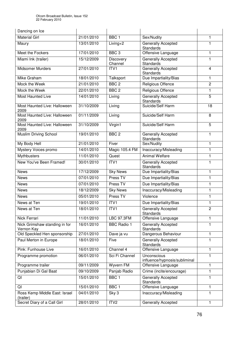| Dancing on Ice                              |            |                      |                                              |                |
|---------------------------------------------|------------|----------------------|----------------------------------------------|----------------|
| <b>Material Girl</b>                        | 21/01/2010 | BBC <sub>1</sub>     | Sex/Nudity                                   | 1              |
| Maury                                       | 13/01/2010 | $Living + 2$         | Generally Accepted<br>Standards              | 1              |
| Meet the Fockers                            | 17/01/2010 | BBC <sub>3</sub>     | Offensive Language                           | 1              |
| Miami Ink (trailer)                         | 15/12/2009 | Discovery<br>Channel | <b>Generally Accepted</b><br>Standards       | 1              |
| <b>Midsomer Murders</b>                     | 27/01/2010 | ITV <sub>1</sub>     | <b>Generally Accepted</b><br>Standards       | 4              |
| <b>Mike Graham</b>                          | 18/01/2010 | Talksport            | Due Impartiality/Bias                        | 1              |
| Mock the Week                               | 21/01/2010 | BBC <sub>2</sub>     | <b>Religious Offence</b>                     | $\overline{2}$ |
| Mock the Week                               | 22/01/2010 | BBC <sub>2</sub>     | Religious Offence                            | 1              |
| <b>Most Haunted Live</b>                    | 14/01/2010 | Living               | Generally Accepted<br>Standards              | 5              |
| Most Haunted Live: Halloween<br>2009        | 31/10/2009 | Living               | Suicide/Self Harm                            | 18             |
| Most Haunted Live: Halloween<br>2009        | 01/11/2009 | Living               | Suicide/Self Harm                            | 8              |
| Most Haunted Live: Halloween<br>2009        | 31/10/2009 | Virgin1              | Suicide/Self Harm                            | 5              |
| <b>Muslim Driving School</b>                | 19/01/2010 | BBC <sub>2</sub>     | Generally Accepted<br><b>Standards</b>       | 1              |
| My Body Hell                                | 21/01/2010 | Fiver                | Sex/Nudity                                   | 1              |
| Mystery Voices promo                        | 14/01/2010 | Magic 105.4 FM       | Inaccuracy/Misleading                        | 1              |
| Mythbusters                                 | 11/01/2010 | Quest                | <b>Animal Welfare</b>                        | $\mathbf{1}$   |
| New You've Been Framed!                     | 30/01/2010 | ITVI                 | Generally Accepted<br>Standards              | 1              |
| <b>News</b>                                 | 17/12/2009 | <b>Sky News</b>      | Due Impartiality/Bias                        | $\mathbf{1}$   |
| <b>News</b>                                 | 07/01/2010 | Press TV             | Due Impartiality/Bias                        | 1              |
| <b>News</b>                                 | 07/01/2010 | Press TV             | Due Impartiality/Bias                        | 1              |
| <b>News</b>                                 | 18/12/2009 | <b>Sky News</b>      | Inaccuracy/Misleading                        | 1              |
| <b>News</b>                                 | 05/01/2010 | Press TV             | Violence                                     | $\mathbf{1}$   |
| News at Ten                                 | 19/01/2010 | ITV1                 | Due Impartiality/Bias                        | $\mathbf{1}$   |
| News at Ten                                 | 18/01/2010 | <b>ITV1</b>          | Generally Accepted<br>Standards              | 2              |
| Nick Ferrari                                | 11/01/2010 | <b>LBC 97.3FM</b>    | Offensive Language                           | $\mathbf{1}$   |
| Nick Grimshaw standing in for<br>Vernon Kay | 16/01/2010 | <b>BBC Radio 1</b>   | Generally Accepted<br>Standards              | 1              |
| Old Speckled Hen sponsorship                | 27/01/2010 | Dave ja vu           | Dangerous Behaviour                          | 1              |
| Paul Merton in Europe                       | 18/01/2010 | Five                 | <b>Generally Accepted</b><br>Standards       | 1              |
| Pink: Funhouse Live                         | 16/01/2010 | Channel 4            | Offensive Language                           | $\mathbf{1}$   |
| Programme promotion                         | 06/01/2010 | Sci Fi Channel       | Unconscious<br>influence/hypnosis/subliminal | 1              |
| Programme trailer                           | 09/11/2009 | Wyvern FM            | Offensive Language                           | 1              |
| Punjabian Di Gal Baat                       | 09/10/2009 | Panjab Radio         | Crime (incite/encourage)                     | 1              |
| QI                                          | 15/01/2010 | BBC <sub>1</sub>     | Generally Accepted<br>Standards              | 1              |
| QI                                          | 15/01/2010 | BBC <sub>1</sub>     | Offensive Language                           | $\mathbf{1}$   |
| Ross Kemp Middle East: Israel<br>(trailer)  | 04/01/2010 | Sky 3                | Inaccuracy/Misleading                        | 1              |
| Secret Diary of a Call Girl                 | 28/01/2010 | ITV2                 | Generally Accepted                           | $\mathbf{1}$   |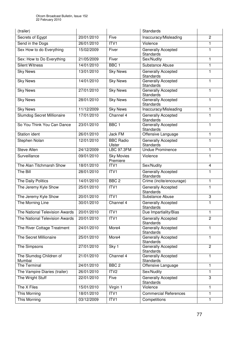| (trailer)                         |            |                               | <b>Standards</b>                              |                           |
|-----------------------------------|------------|-------------------------------|-----------------------------------------------|---------------------------|
| Secrets of Egypt                  | 20/01/2010 | Five                          | Inaccuracy/Misleading                         | $\overline{2}$            |
| Send in the Dogs                  | 26/01/2010 | ITV <sub>1</sub>              | Violence                                      | 1                         |
| Sex How to do Everything          | 15/02/2009 | Fiver                         | Generally Accepted<br><b>Standards</b>        | 1                         |
| Sex: How to Do Everything         | 21/05/2009 | Fiver                         | Sex/Nudity                                    | $\mathbf{1}$              |
| <b>Silent Witness</b>             | 14/01/2010 | BBC <sub>1</sub>              | Substance Abuse                               | 1                         |
| <b>Sky News</b>                   | 13/01/2010 | <b>Sky News</b>               | Generally Accepted<br>Standards               | 1                         |
| <b>Sky News</b>                   | 14/01/2010 | <b>Sky News</b>               | Generally Accepted<br>Standards               | 1                         |
| <b>Sky News</b>                   | 27/01/2010 | <b>Sky News</b>               | Generally Accepted<br>Standards               | $\mathbf{1}$              |
| <b>Sky News</b>                   | 28/01/2010 | <b>Sky News</b>               | Generally Accepted<br><b>Standards</b>        | 1                         |
| <b>Sky News</b>                   | 11/12/2009 | <b>Sky News</b>               | Inaccuracy/Misleading                         | 1                         |
| Slumdog Secret Millionaire        | 17/01/2010 | Channel 4                     | Generally Accepted<br><b>Standards</b>        | 1                         |
| So You Think You Can Dance        | 23/01/2010 | BBC <sub>1</sub>              | Generally Accepted<br>Standards               | 1                         |
| <b>Station ident</b>              | 26/01/2010 | Jack FM                       | Offensive Language                            | 1                         |
| Stephen Nolan                     | 12/01/2010 | <b>BBC Radio</b><br>Ulster    | Generally Accepted<br>Standards               | $\mathbf{1}$              |
| <b>Steve Allen</b>                | 24/12/2009 | <b>LBC 97.3FM</b>             | Undue Prominence                              | 1                         |
| Surveillance                      | 09/01/2010 | <b>Sky Movies</b><br>Premiere | Violence                                      | 1                         |
| The Alan Titchmarsh Show          | 18/01/2010 | ITV1                          | Sex/Nudity                                    | 4                         |
| The Bill                          | 28/01/2010 | ITV <sub>1</sub>              | <b>Generally Accepted</b><br><b>Standards</b> | 1                         |
| The Daily Politics                | 14/01/2010 | BBC <sub>2</sub>              | Crime (incite/encourage)                      | 1                         |
| The Jeremy Kyle Show              | 25/01/2010 | ITV1                          | Generally Accepted<br><b>Standards</b>        | 1                         |
| The Jeremy Kyle Show              | 20/01/2010 | ITV1                          | Substance Abuse                               | $\ensuremath{\mathsf{3}}$ |
| The Morning Line                  | 30/01/2010 | Channel 4                     | Generally Accepted<br>Standards               | 1                         |
| The National Television Awards    | 20/01/2010 | ITV1                          | Due Impartiality/Bias                         | 1                         |
| The National Television Awards    | 20/01/2010 | ITV1                          | Generally Accepted<br><b>Standards</b>        | $\overline{2}$            |
| The River Cottage Treatment       | 24/01/2010 | More4                         | Generally Accepted<br><b>Standards</b>        | 1                         |
| The Secret Millionaire            | 25/01/2010 | More4                         | Generally Accepted<br>Standards               | 1                         |
| The Simpsons                      | 27/01/2010 | Sky 1                         | Generally Accepted<br>Standards               | $\overline{2}$            |
| The Slumdog Children of<br>Mumbai | 21/01/2010 | Channel 4                     | Generally Accepted<br>Standards               | $\mathbf{1}$              |
| The Terminal                      | 24/01/2010 | BBC <sub>2</sub>              | Offensive Language                            | 1                         |
| The Vampire Diaries (trailer)     | 26/01/2010 | ITV <sub>2</sub>              | Sex/Nudity                                    | 1                         |
| The Wright Stuff                  | 22/01/2010 | Five                          | Generally Accepted<br><b>Standards</b>        | 3                         |
| The X Files                       | 15/01/2010 | Virgin $1$                    | Violence                                      | $\mathbf{1}$              |
| This Morning                      | 18/01/2010 | ITV <sub>1</sub>              | <b>Commercial References</b>                  | 1                         |
| This Morning                      | 03/12/2009 | ITV1                          | Competitions                                  | 1                         |